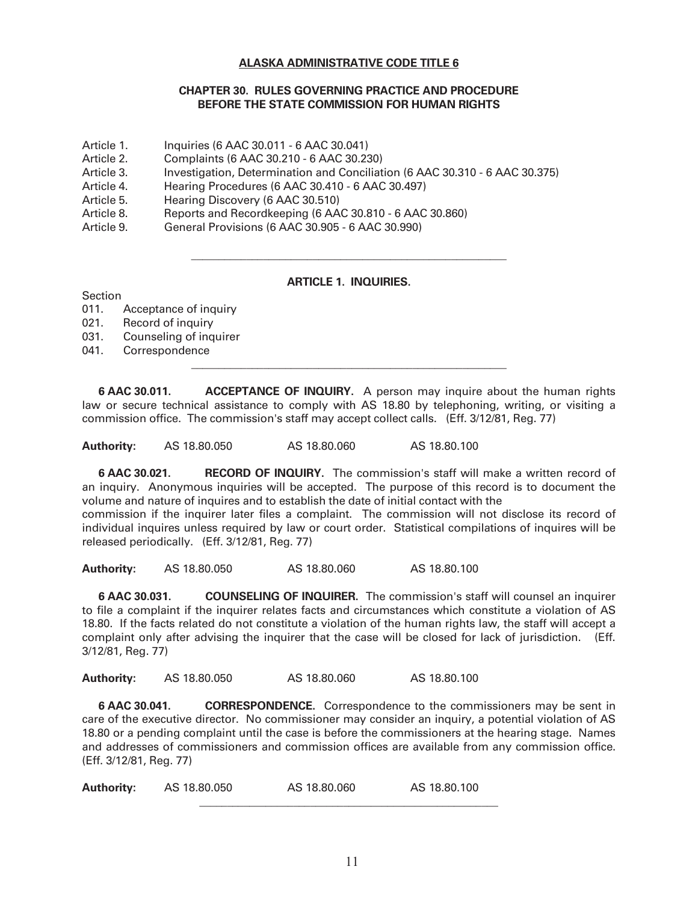## **ALASKA ADMINISTRATIVE CODE TITLE 6**

## **CHAPTER 30. RULES GOVERNING PRACTICE AND PROCEDURE BEFORE THE STATE COMMISSION FOR HUMAN RIGHTS**

- Article 1. Inquiries (6 AAC 30.011 6 AAC 30.041)
- Article 2. Complaints (6 AAC 30.210 6 AAC 30.230)
- Article 3. Investigation, Determination and Conciliation (6 AAC 30.310 6 AAC 30.375)
- Article 4. Hearing Procedures (6 AAC 30.410 6 AAC 30.497)
- Article 5. Hearing Discovery (6 AAC 30.510)
- Article 8. Reports and Recordkeeping (6 AAC 30.810 6 AAC 30.860)

 $\mathcal{L}_\text{max} = \mathcal{L}_\text{max} = \mathcal{L}_\text{max} = \mathcal{L}_\text{max} = \mathcal{L}_\text{max} = \mathcal{L}_\text{max} = \mathcal{L}_\text{max} = \mathcal{L}_\text{max} = \mathcal{L}_\text{max} = \mathcal{L}_\text{max} = \mathcal{L}_\text{max} = \mathcal{L}_\text{max} = \mathcal{L}_\text{max} = \mathcal{L}_\text{max} = \mathcal{L}_\text{max} = \mathcal{L}_\text{max} = \mathcal{L}_\text{max} = \mathcal{L}_\text{max} = \mathcal{$ 

 $\frac{1}{\sqrt{2}}$  ,  $\frac{1}{\sqrt{2}}$  ,  $\frac{1}{\sqrt{2}}$  ,  $\frac{1}{\sqrt{2}}$  ,  $\frac{1}{\sqrt{2}}$  ,  $\frac{1}{\sqrt{2}}$  ,  $\frac{1}{\sqrt{2}}$  ,  $\frac{1}{\sqrt{2}}$  ,  $\frac{1}{\sqrt{2}}$  ,  $\frac{1}{\sqrt{2}}$  ,  $\frac{1}{\sqrt{2}}$  ,  $\frac{1}{\sqrt{2}}$  ,  $\frac{1}{\sqrt{2}}$  ,  $\frac{1}{\sqrt{2}}$  ,  $\frac{1}{\sqrt{2}}$ 

Article 9. General Provisions (6 AAC 30.905 - 6 AAC 30.990)

# **ARTICLE 1. INQUIRIES.**

Section

- 011. Acceptance of inquiry
- 021. Record of inquiry
- 031. Counseling of inquirer
- 041. Correspondence

**6 AAC 30.011. ACCEPTANCE OF INQUIRY.** A person may inquire about the human rights law or secure technical assistance to comply with AS 18.80 by telephoning, writing, or visiting a commission office. The commission's staff may accept collect calls. (Eff. 3/12/81, Reg. 77)

**Authority:** AS 18.80.050 AS 18.80.060 AS 18.80.100

**6 AAC 30.021. RECORD OF INQUIRY.** The commission's staff will make a written record of an inquiry. Anonymous inquiries will be accepted. The purpose of this record is to document the volume and nature of inquires and to establish the date of initial contact with the commission if the inquirer later files a complaint. The commission will not disclose its record of

individual inquires unless required by law or court order. Statistical compilations of inquires will be released periodically. (Eff. 3/12/81, Reg. 77)

**Authority:** AS 18.80.050 AS 18.80.060 AS 18.80.100

**6 AAC 30.031. COUNSELING OF INQUIRER.** The commission's staff will counsel an inquirer to file a complaint if the inquirer relates facts and circumstances which constitute a violation of AS 18.80. If the facts related do not constitute a violation of the human rights law, the staff will accept a complaint only after advising the inquirer that the case will be closed for lack of jurisdiction. (Eff. 3/12/81, Reg. 77)

**Authority:** AS 18.80.050 AS 18.80.060 AS 18.80.100

**6 AAC 30.041. CORRESPONDENCE.** Correspondence to the commissioners may be sent in care of the executive director. No commissioner may consider an inquiry, a potential violation of AS 18.80 or a pending complaint until the case is before the commissioners at the hearing stage. Names and addresses of commissioners and commission offices are available from any commission office. (Eff. 3/12/81, Reg. 77)

**Authority:** AS 18.80.050 AS 18.80.060 AS 18.80.100  $\mathcal{L}_\text{max}$  , and the contract of the contract of the contract of the contract of the contract of the contract of the contract of the contract of the contract of the contract of the contract of the contract of the contr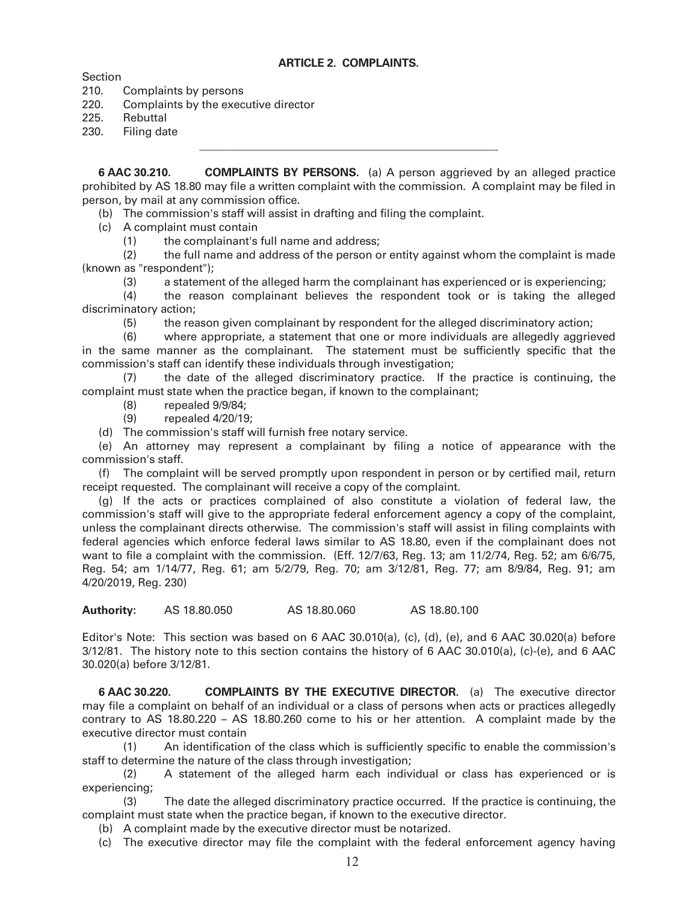## **ARTICLE 2. COMPLAINTS.**

Section

210. Complaints by persons

220. Complaints by the executive director

225. Rebuttal

230. Filing date

**6 AAC 30.210. COMPLAINTS BY PERSONS.** (a) A person aggrieved by an alleged practice prohibited by AS 18.80 may file a written complaint with the commission. A complaint may be filed in person, by mail at any commission office.

(b) The commission's staff will assist in drafting and filing the complaint.

 $\mathcal{L}_\text{max}$  , and the contract of the contract of the contract of the contract of the contract of the contract of the contract of the contract of the contract of the contract of the contract of the contract of the contr

(c) A complaint must contain

(1) the complainant's full name and address;

 (2) the full name and address of the person or entity against whom the complaint is made (known as "respondent");

(3) a statement of the alleged harm the complainant has experienced or is experiencing;

 (4) the reason complainant believes the respondent took or is taking the alleged discriminatory action;

(5) the reason given complainant by respondent for the alleged discriminatory action;

 (6) where appropriate, a statement that one or more individuals are allegedly aggrieved in the same manner as the complainant. The statement must be sufficiently specific that the commission's staff can identify these individuals through investigation;

 (7) the date of the alleged discriminatory practice. If the practice is continuing, the complaint must state when the practice began, if known to the complainant;

- (8) repealed 9/9/84;
- (9) repealed 4/20/19;

(d) The commission's staff will furnish free notary service.

 (e) An attorney may represent a complainant by filing a notice of appearance with the commission's staff.

 (f) The complaint will be served promptly upon respondent in person or by certified mail, return receipt requested. The complainant will receive a copy of the complaint.

 (g) If the acts or practices complained of also constitute a violation of federal law, the commission's staff will give to the appropriate federal enforcement agency a copy of the complaint, unless the complainant directs otherwise. The commission's staff will assist in filing complaints with federal agencies which enforce federal laws similar to AS 18.80, even if the complainant does not want to file a complaint with the commission. (Eff. 12/7/63, Reg. 13; am 11/2/74, Reg. 52; am 6/6/75, Reg. 54; am 1/14/77, Reg. 61; am 5/2/79, Reg. 70; am 3/12/81, Reg. 77; am 8/9/84, Reg. 91; am 4/20/2019, Reg. 230)

**Authority:** AS 18.80.050 AS 18.80.060 AS 18.80.100

Editor's Note: This section was based on 6 AAC 30.010(a), (c), (d), (e), and 6 AAC 30.020(a) before  $3/12/81$ . The history note to this section contains the history of 6 AAC  $30.010(a)$ , (c)-(e), and 6 AAC 30.020(a) before 3/12/81.

**6 AAC 30.220. COMPLAINTS BY THE EXECUTIVE DIRECTOR.** (a) The executive director may file a complaint on behalf of an individual or a class of persons when acts or practices allegedly contrary to AS 18.80.220 – AS 18.80.260 come to his or her attention. A complaint made by the executive director must contain

 (1) An identification of the class which is sufficiently specific to enable the commission's staff to determine the nature of the class through investigation;

 (2) A statement of the alleged harm each individual or class has experienced or is experiencing;

 (3) The date the alleged discriminatory practice occurred. If the practice is continuing, the complaint must state when the practice began, if known to the executive director.

- (b) A complaint made by the executive director must be notarized.
- (c) The executive director may file the complaint with the federal enforcement agency having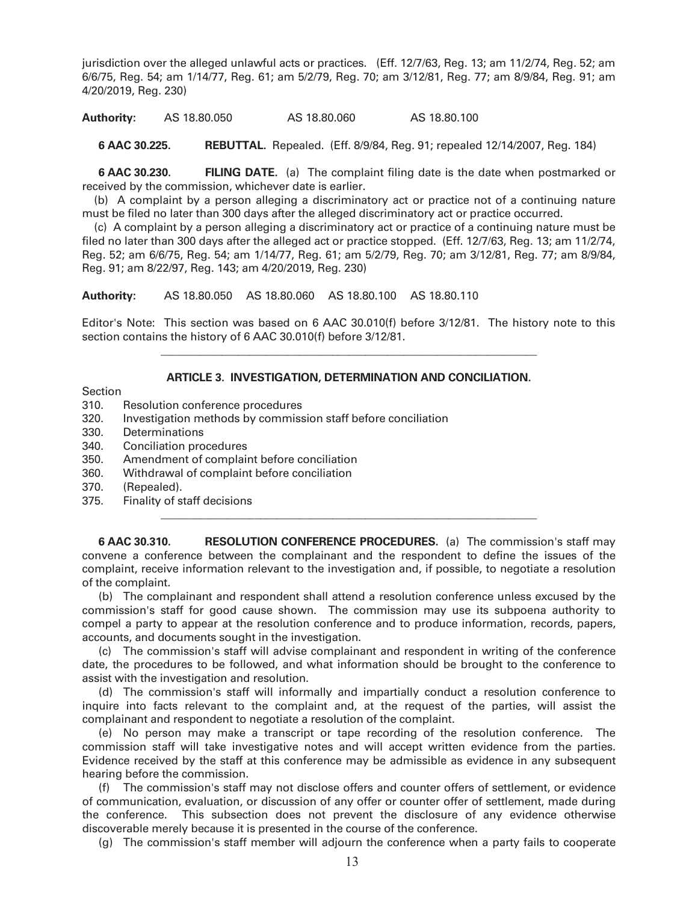jurisdiction over the alleged unlawful acts or practices. (Eff. 12/7/63, Reg. 13; am 11/2/74, Reg. 52; am 6/6/75, Reg. 54; am 1/14/77, Reg. 61; am 5/2/79, Reg. 70; am 3/12/81, Reg. 77; am 8/9/84, Reg. 91; am 4/20/2019, Reg. 230)

**Authority:** AS 18.80.050 AS 18.80.060 AS 18.80.100

**6 AAC 30.225. REBUTTAL.** Repealed. (Eff. 8/9/84, Reg. 91; repealed 12/14/2007, Reg. 184)

 **6 AAC 30.230. FILING DATE.** (a) The complaint filing date is the date when postmarked or received by the commission, whichever date is earlier.

 (b) A complaint by a person alleging a discriminatory act or practice not of a continuing nature must be filed no later than 300 days after the alleged discriminatory act or practice occurred.

 (c) A complaint by a person alleging a discriminatory act or practice of a continuing nature must be filed no later than 300 days after the alleged act or practice stopped. (Eff. 12/7/63, Reg. 13; am 11/2/74, Reg. 52; am 6/6/75, Reg. 54; am 1/14/77, Reg. 61; am 5/2/79, Reg. 70; am 3/12/81, Reg. 77; am 8/9/84, Reg. 91; am 8/22/97, Reg. 143; am 4/20/2019, Reg. 230)

**Authority:** AS 18.80.050 AS 18.80.060 AS 18.80.100 AS 18.80.110

 $\frac{1}{2}$  ,  $\frac{1}{2}$  ,  $\frac{1}{2}$  ,  $\frac{1}{2}$  ,  $\frac{1}{2}$  ,  $\frac{1}{2}$  ,  $\frac{1}{2}$  ,  $\frac{1}{2}$  ,  $\frac{1}{2}$  ,  $\frac{1}{2}$  ,  $\frac{1}{2}$  ,  $\frac{1}{2}$  ,  $\frac{1}{2}$  ,  $\frac{1}{2}$  ,  $\frac{1}{2}$  ,  $\frac{1}{2}$  ,  $\frac{1}{2}$  ,  $\frac{1}{2}$  ,  $\frac{1$ 

 $\overline{\phantom{a}}$  , and the contribution of the contribution of the contribution of the contribution of the contribution of the contribution of the contribution of the contribution of the contribution of the contribution of the

Editor's Note: This section was based on 6 AAC 30.010(f) before 3/12/81. The history note to this section contains the history of 6 AAC 30.010(f) before 3/12/81.

#### **ARTICLE 3. INVESTIGATION, DETERMINATION AND CONCILIATION.**

Section

- 310. Resolution conference procedures
- 320. Investigation methods by commission staff before conciliation
- 330. Determinations
- 340. Conciliation procedures
- 350. Amendment of complaint before conciliation
- 360. Withdrawal of complaint before conciliation
- 370. (Repealed).
- 375. Finality of staff decisions

**6 AAC 30.310. RESOLUTION CONFERENCE PROCEDURES.** (a) The commission's staff may convene a conference between the complainant and the respondent to define the issues of the complaint, receive information relevant to the investigation and, if possible, to negotiate a resolution of the complaint.

 (b) The complainant and respondent shall attend a resolution conference unless excused by the commission's staff for good cause shown. The commission may use its subpoena authority to compel a party to appear at the resolution conference and to produce information, records, papers, accounts, and documents sought in the investigation.

 (c) The commission's staff will advise complainant and respondent in writing of the conference date, the procedures to be followed, and what information should be brought to the conference to assist with the investigation and resolution.

 (d) The commission's staff will informally and impartially conduct a resolution conference to inquire into facts relevant to the complaint and, at the request of the parties, will assist the complainant and respondent to negotiate a resolution of the complaint.

 (e) No person may make a transcript or tape recording of the resolution conference. The commission staff will take investigative notes and will accept written evidence from the parties. Evidence received by the staff at this conference may be admissible as evidence in any subsequent hearing before the commission.

 (f) The commission's staff may not disclose offers and counter offers of settlement, or evidence of communication, evaluation, or discussion of any offer or counter offer of settlement, made during the conference. This subsection does not prevent the disclosure of any evidence otherwise discoverable merely because it is presented in the course of the conference.

(g) The commission's staff member will adjourn the conference when a party fails to cooperate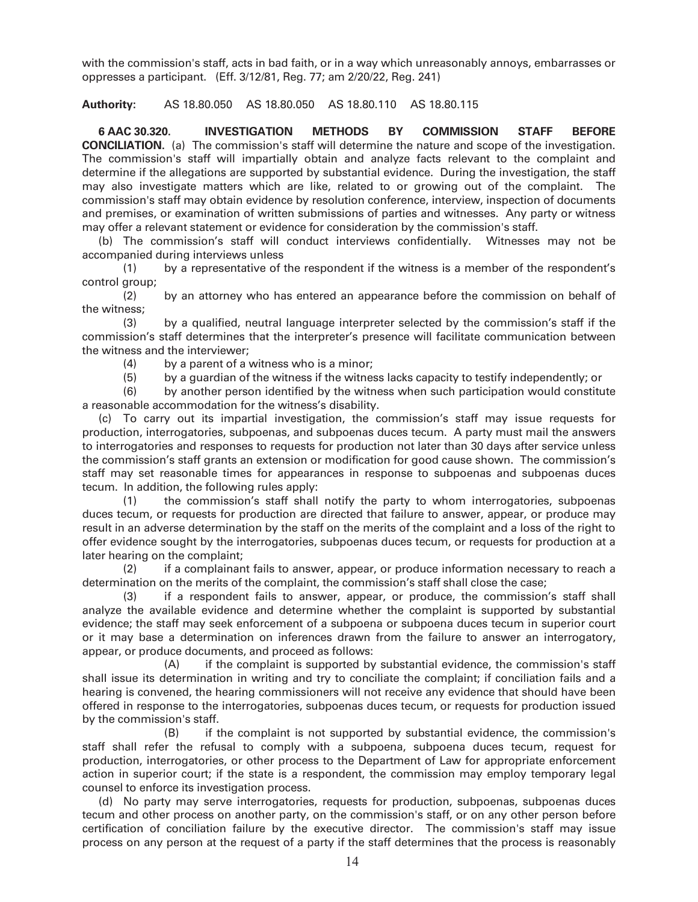with the commission's staff, acts in bad faith, or in a way which unreasonably annoys, embarrasses or oppresses a participant. (Eff. 3/12/81, Reg. 77; am 2/20/22, Reg. 241)

**Authority:** AS 18.80.050 AS 18.80.050 AS 18.80.110 AS 18.80.115

**6 AAC 30.320. INVESTIGATION METHODS BY COMMISSION STAFF BEFORE CONCILIATION.** (a) The commission's staff will determine the nature and scope of the investigation. The commission's staff will impartially obtain and analyze facts relevant to the complaint and determine if the allegations are supported by substantial evidence. During the investigation, the staff may also investigate matters which are like, related to or growing out of the complaint. The commission's staff may obtain evidence by resolution conference, interview, inspection of documents and premises, or examination of written submissions of parties and witnesses. Any party or witness may offer a relevant statement or evidence for consideration by the commission's staff.

 (b) The commission's staff will conduct interviews confidentially. Witnesses may not be accompanied during interviews unless

 (1) by a representative of the respondent if the witness is a member of the respondent's control group;

 (2) by an attorney who has entered an appearance before the commission on behalf of the witness;

 (3) by a qualified, neutral language interpreter selected by the commission's staff if the commission's staff determines that the interpreter's presence will facilitate communication between the witness and the interviewer;

(4) by a parent of a witness who is a minor;

(5) by a guardian of the witness if the witness lacks capacity to testify independently; or

 (6) by another person identified by the witness when such participation would constitute a reasonable accommodation for the witness's disability.

 (c) To carry out its impartial investigation, the commission's staff may issue requests for production, interrogatories, subpoenas, and subpoenas duces tecum. A party must mail the answers to interrogatories and responses to requests for production not later than 30 days after service unless the commission's staff grants an extension or modification for good cause shown. The commission's staff may set reasonable times for appearances in response to subpoenas and subpoenas duces tecum. In addition, the following rules apply:

 (1) the commission's staff shall notify the party to whom interrogatories, subpoenas duces tecum, or requests for production are directed that failure to answer, appear, or produce may result in an adverse determination by the staff on the merits of the complaint and a loss of the right to offer evidence sought by the interrogatories, subpoenas duces tecum, or requests for production at a later hearing on the complaint;

 (2) if a complainant fails to answer, appear, or produce information necessary to reach a determination on the merits of the complaint, the commission's staff shall close the case;

 (3) if a respondent fails to answer, appear, or produce, the commission's staff shall analyze the available evidence and determine whether the complaint is supported by substantial evidence; the staff may seek enforcement of a subpoena or subpoena duces tecum in superior court or it may base a determination on inferences drawn from the failure to answer an interrogatory, appear, or produce documents, and proceed as follows:

 (A) if the complaint is supported by substantial evidence, the commission's staff shall issue its determination in writing and try to conciliate the complaint; if conciliation fails and a hearing is convened, the hearing commissioners will not receive any evidence that should have been offered in response to the interrogatories, subpoenas duces tecum, or requests for production issued by the commission's staff.

 (B) if the complaint is not supported by substantial evidence, the commission's staff shall refer the refusal to comply with a subpoena, subpoena duces tecum, request for production, interrogatories, or other process to the Department of Law for appropriate enforcement action in superior court; if the state is a respondent, the commission may employ temporary legal counsel to enforce its investigation process.

 (d) No party may serve interrogatories, requests for production, subpoenas, subpoenas duces tecum and other process on another party, on the commission's staff, or on any other person before certification of conciliation failure by the executive director. The commission's staff may issue process on any person at the request of a party if the staff determines that the process is reasonably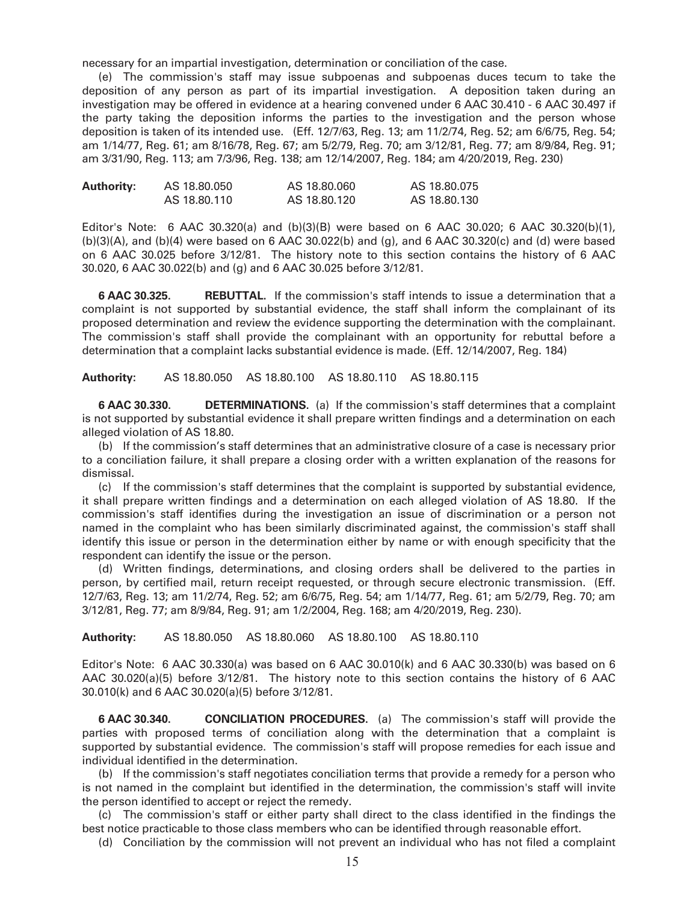necessary for an impartial investigation, determination or conciliation of the case.

 (e) The commission's staff may issue subpoenas and subpoenas duces tecum to take the deposition of any person as part of its impartial investigation. A deposition taken during an investigation may be offered in evidence at a hearing convened under 6 AAC 30.410 - 6 AAC 30.497 if the party taking the deposition informs the parties to the investigation and the person whose deposition is taken of its intended use. (Eff. 12/7/63, Reg. 13; am 11/2/74, Reg. 52; am 6/6/75, Reg. 54; am 1/14/77, Reg. 61; am 8/16/78, Reg. 67; am 5/2/79, Reg. 70; am 3/12/81, Reg. 77; am 8/9/84, Reg. 91; am 3/31/90, Reg. 113; am 7/3/96, Reg. 138; am 12/14/2007, Reg. 184; am 4/20/2019, Reg. 230)

| <b>Authority:</b> | AS 18,80,050 | AS 18.80.060 | AS 18.80.075 |
|-------------------|--------------|--------------|--------------|
|                   | AS 18.80.110 | AS 18.80.120 | AS 18.80.130 |

Editor's Note: 6 AAC 30.320(a) and  $(b)(3)(B)$  were based on 6 AAC 30.020; 6 AAC 30.320(b)(1), (b)(3)(A), and (b)(4) were based on 6 AAC 30.022(b) and (g), and 6 AAC 30.320(c) and (d) were based on 6 AAC 30.025 before 3/12/81. The history note to this section contains the history of 6 AAC 30.020, 6 AAC 30.022(b) and (g) and 6 AAC 30.025 before 3/12/81.

 **6 AAC 30.325. REBUTTAL.** If the commission's staff intends to issue a determination that a complaint is not supported by substantial evidence, the staff shall inform the complainant of its proposed determination and review the evidence supporting the determination with the complainant. The commission's staff shall provide the complainant with an opportunity for rebuttal before a determination that a complaint lacks substantial evidence is made. (Eff. 12/14/2007, Reg. 184)

**Authority:** AS 18.80.050 AS 18.80.100 AS 18.80.110 AS 18.80.115

**6 AAC 30.330. DETERMINATIONS.** (a) If the commission's staff determines that a complaint is not supported by substantial evidence it shall prepare written findings and a determination on each alleged violation of AS 18.80.

 (b) If the commission's staff determines that an administrative closure of a case is necessary prior to a conciliation failure, it shall prepare a closing order with a written explanation of the reasons for dismissal.

 (c) If the commission's staff determines that the complaint is supported by substantial evidence, it shall prepare written findings and a determination on each alleged violation of AS 18.80. If the commission's staff identifies during the investigation an issue of discrimination or a person not named in the complaint who has been similarly discriminated against, the commission's staff shall identify this issue or person in the determination either by name or with enough specificity that the respondent can identify the issue or the person.

 (d) Written findings, determinations, and closing orders shall be delivered to the parties in person, by certified mail, return receipt requested, or through secure electronic transmission. (Eff. 12/7/63, Reg. 13; am 11/2/74, Reg. 52; am 6/6/75, Reg. 54; am 1/14/77, Reg. 61; am 5/2/79, Reg. 70; am 3/12/81, Reg. 77; am 8/9/84, Reg. 91; am 1/2/2004, Reg. 168; am 4/20/2019, Reg. 230).

**Authority:** AS 18.80.050 AS 18.80.060 AS 18.80.100 AS 18.80.110

Editor's Note: 6 AAC 30.330(a) was based on 6 AAC 30.010(k) and 6 AAC 30.330(b) was based on 6 AAC 30.020(a)(5) before 3/12/81. The history note to this section contains the history of 6 AAC 30.010(k) and 6 AAC 30.020(a)(5) before 3/12/81.

**6 AAC 30.340. CONCILIATION PROCEDURES.** (a) The commission's staff will provide the parties with proposed terms of conciliation along with the determination that a complaint is supported by substantial evidence. The commission's staff will propose remedies for each issue and individual identified in the determination.

 (b) If the commission's staff negotiates conciliation terms that provide a remedy for a person who is not named in the complaint but identified in the determination, the commission's staff will invite the person identified to accept or reject the remedy.

 (c) The commission's staff or either party shall direct to the class identified in the findings the best notice practicable to those class members who can be identified through reasonable effort.

(d) Conciliation by the commission will not prevent an individual who has not filed a complaint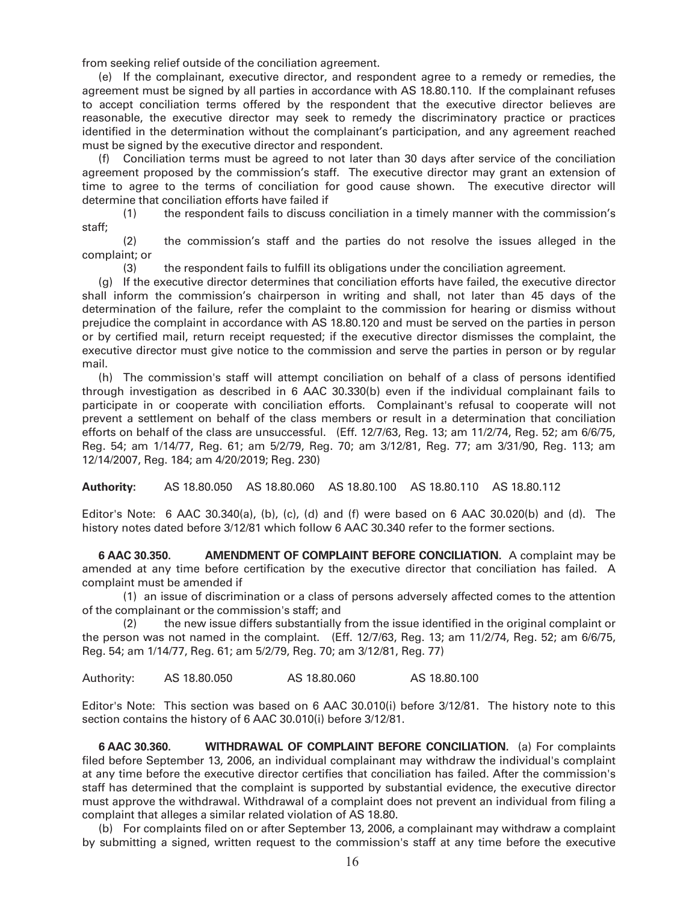from seeking relief outside of the conciliation agreement.

 (e) If the complainant, executive director, and respondent agree to a remedy or remedies, the agreement must be signed by all parties in accordance with AS 18.80.110. If the complainant refuses to accept conciliation terms offered by the respondent that the executive director believes are reasonable, the executive director may seek to remedy the discriminatory practice or practices identified in the determination without the complainant's participation, and any agreement reached must be signed by the executive director and respondent.

 (f) Conciliation terms must be agreed to not later than 30 days after service of the conciliation agreement proposed by the commission's staff. The executive director may grant an extension of time to agree to the terms of conciliation for good cause shown. The executive director will determine that conciliation efforts have failed if

 (1) the respondent fails to discuss conciliation in a timely manner with the commission's staff;

 (2) the commission's staff and the parties do not resolve the issues alleged in the complaint; or

(3) the respondent fails to fulfill its obligations under the conciliation agreement.

 (g) If the executive director determines that conciliation efforts have failed, the executive director shall inform the commission's chairperson in writing and shall, not later than 45 days of the determination of the failure, refer the complaint to the commission for hearing or dismiss without prejudice the complaint in accordance with AS 18.80.120 and must be served on the parties in person or by certified mail, return receipt requested; if the executive director dismisses the complaint, the executive director must give notice to the commission and serve the parties in person or by regular mail.

 (h) The commission's staff will attempt conciliation on behalf of a class of persons identified through investigation as described in 6 AAC 30.330(b) even if the individual complainant fails to participate in or cooperate with conciliation efforts. Complainant's refusal to cooperate will not prevent a settlement on behalf of the class members or result in a determination that conciliation efforts on behalf of the class are unsuccessful. (Eff. 12/7/63, Reg. 13; am 11/2/74, Reg. 52; am 6/6/75, Reg. 54; am 1/14/77, Reg. 61; am 5/2/79, Reg. 70; am 3/12/81, Reg. 77; am 3/31/90, Reg. 113; am 12/14/2007, Reg. 184; am 4/20/2019; Reg. 230)

**Authority:** AS 18.80.050 AS 18.80.060 AS 18.80.100 AS 18.80.110 AS 18.80.112

Editor's Note: 6 AAC 30.340(a), (b), (c), (d) and (f) were based on 6 AAC 30.020(b) and (d). The history notes dated before 3/12/81 which follow 6 AAC 30.340 refer to the former sections.

**6 AAC 30.350. AMENDMENT OF COMPLAINT BEFORE CONCILIATION.** A complaint may be amended at any time before certification by the executive director that conciliation has failed. A complaint must be amended if

 (1) an issue of discrimination or a class of persons adversely affected comes to the attention of the complainant or the commission's staff; and

 (2) the new issue differs substantially from the issue identified in the original complaint or the person was not named in the complaint. (Eff. 12/7/63, Reg. 13; am 11/2/74, Reg. 52; am 6/6/75, Reg. 54; am 1/14/77, Reg. 61; am 5/2/79, Reg. 70; am 3/12/81, Reg. 77)

Authority: AS 18.80.050 AS 18.80.060 AS 18.80.100

Editor's Note: This section was based on 6 AAC 30.010(i) before 3/12/81. The history note to this section contains the history of 6 AAC 30.010(i) before 3/12/81.

**6 AAC 30.360. WITHDRAWAL OF COMPLAINT BEFORE CONCILIATION.** (a) For complaints filed before September 13, 2006, an individual complainant may withdraw the individual's complaint at any time before the executive director certifies that conciliation has failed. After the commission's staff has determined that the complaint is supported by substantial evidence, the executive director must approve the withdrawal. Withdrawal of a complaint does not prevent an individual from filing a complaint that alleges a similar related violation of AS 18.80.

 (b) For complaints filed on or after September 13, 2006, a complainant may withdraw a complaint by submitting a signed, written request to the commission's staff at any time before the executive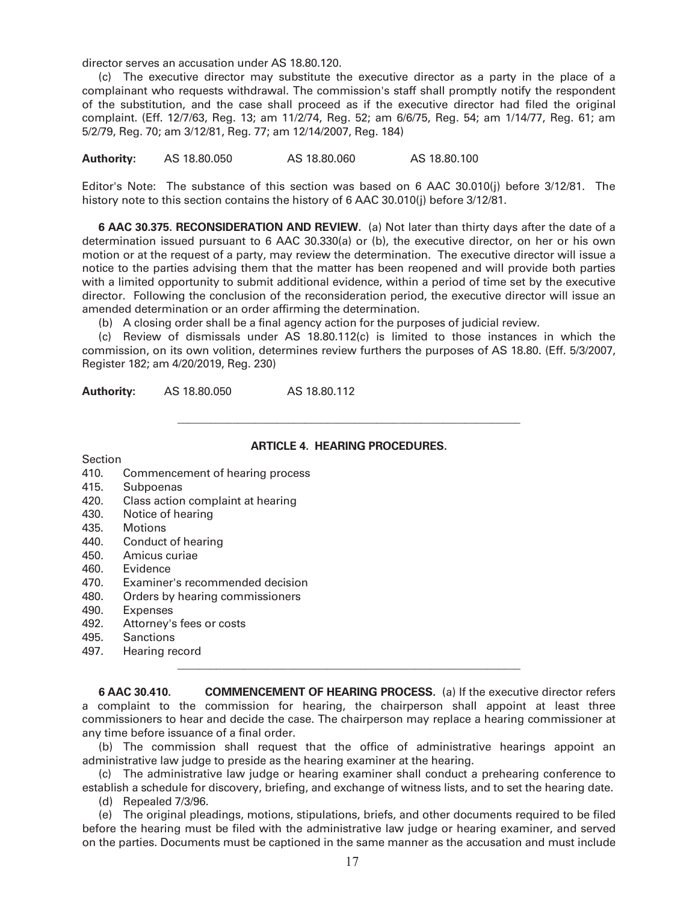director serves an accusation under AS 18.80.120.

 (c) The executive director may substitute the executive director as a party in the place of a complainant who requests withdrawal. The commission's staff shall promptly notify the respondent of the substitution, and the case shall proceed as if the executive director had filed the original complaint. (Eff. 12/7/63, Reg. 13; am 11/2/74, Reg. 52; am 6/6/75, Reg. 54; am 1/14/77, Reg. 61; am 5/2/79, Reg. 70; am 3/12/81, Reg. 77; am 12/14/2007, Reg. 184)

**Authority:** AS 18.80.050 AS 18.80.060 AS 18.80.100

Editor's Note: The substance of this section was based on 6 AAC 30.010(j) before 3/12/81. The history note to this section contains the history of 6 AAC 30.010(j) before 3/12/81.

**6 AAC 30.375. RECONSIDERATION AND REVIEW.** (a) Not later than thirty days after the date of a determination issued pursuant to 6 AAC 30.330(a) or (b), the executive director, on her or his own motion or at the request of a party, may review the determination. The executive director will issue a notice to the parties advising them that the matter has been reopened and will provide both parties with a limited opportunity to submit additional evidence, within a period of time set by the executive director. Following the conclusion of the reconsideration period, the executive director will issue an amended determination or an order affirming the determination.

(b) A closing order shall be a final agency action for the purposes of judicial review.

 $\frac{1}{2}$  ,  $\frac{1}{2}$  ,  $\frac{1}{2}$  ,  $\frac{1}{2}$  ,  $\frac{1}{2}$  ,  $\frac{1}{2}$  ,  $\frac{1}{2}$  ,  $\frac{1}{2}$  ,  $\frac{1}{2}$  ,  $\frac{1}{2}$  ,  $\frac{1}{2}$  ,  $\frac{1}{2}$  ,  $\frac{1}{2}$  ,  $\frac{1}{2}$  ,  $\frac{1}{2}$  ,  $\frac{1}{2}$  ,  $\frac{1}{2}$  ,  $\frac{1}{2}$  ,  $\frac{1$ 

 $\frac{1}{2}$  ,  $\frac{1}{2}$  ,  $\frac{1}{2}$  ,  $\frac{1}{2}$  ,  $\frac{1}{2}$  ,  $\frac{1}{2}$  ,  $\frac{1}{2}$  ,  $\frac{1}{2}$  ,  $\frac{1}{2}$  ,  $\frac{1}{2}$  ,  $\frac{1}{2}$  ,  $\frac{1}{2}$  ,  $\frac{1}{2}$  ,  $\frac{1}{2}$  ,  $\frac{1}{2}$  ,  $\frac{1}{2}$  ,  $\frac{1}{2}$  ,  $\frac{1}{2}$  ,  $\frac{1$ 

 (c) Review of dismissals under AS 18.80.112(c) is limited to those instances in which the commission, on its own volition, determines review furthers the purposes of AS 18.80. (Eff. 5/3/2007, Register 182; am 4/20/2019, Reg. 230)

**Authority:** AS 18.80.050 AS 18.80.112

# **ARTICLE 4. HEARING PROCEDURES.**

**Section** 

- 410. Commencement of hearing process
- 415. Subpoenas
- 420. Class action complaint at hearing
- 430. Notice of hearing
- 435. Motions
- 440. Conduct of hearing
- 450. Amicus curiae
- 460. Evidence
- 470. Examiner's recommended decision
- 480. Orders by hearing commissioners
- 490. Expenses
- 492. Attorney's fees or costs
- 495. Sanctions
- 497. Hearing record

**6 AAC 30.410. COMMENCEMENT OF HEARING PROCESS.** (a) If the executive director refers a complaint to the commission for hearing, the chairperson shall appoint at least three commissioners to hear and decide the case. The chairperson may replace a hearing commissioner at any time before issuance of a final order.

 (b) The commission shall request that the office of administrative hearings appoint an administrative law judge to preside as the hearing examiner at the hearing.

 (c) The administrative law judge or hearing examiner shall conduct a prehearing conference to establish a schedule for discovery, briefing, and exchange of witness lists, and to set the hearing date. (d) Repealed 7/3/96.

 (e) The original pleadings, motions, stipulations, briefs, and other documents required to be filed before the hearing must be filed with the administrative law judge or hearing examiner, and served on the parties. Documents must be captioned in the same manner as the accusation and must include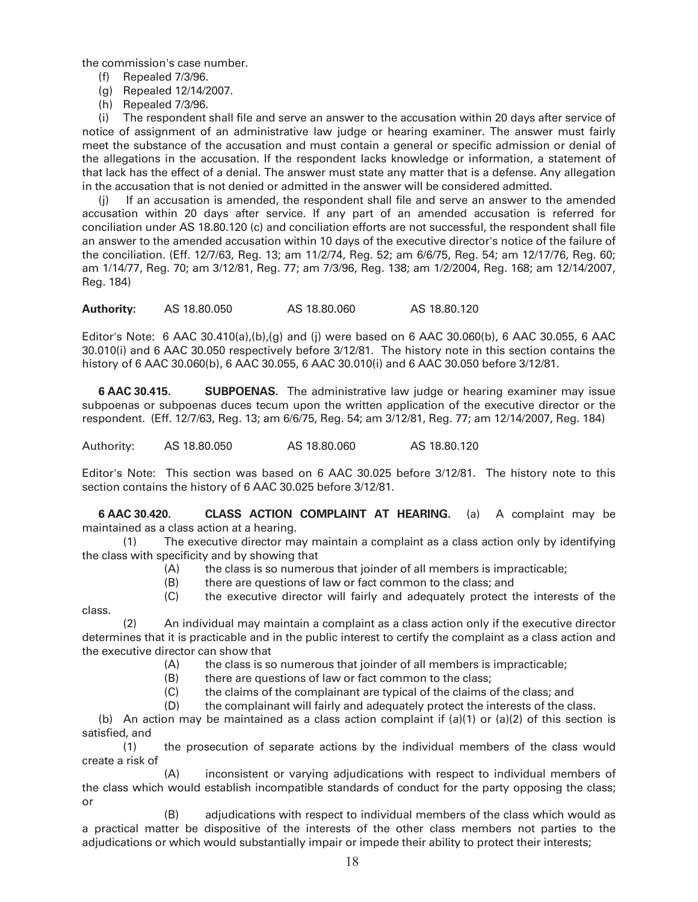the commission's case number.

- (f) Repealed 7/3/96.
- (g) Repealed 12/14/2007.
- (h) Repealed 7/3/96.

 (i) The respondent shall file and serve an answer to the accusation within 20 days after service of notice of assignment of an administrative law judge or hearing examiner. The answer must fairly meet the substance of the accusation and must contain a general or specific admission or denial of the allegations in the accusation. If the respondent lacks knowledge or information, a statement of that lack has the effect of a denial. The answer must state any matter that is a defense. Any allegation in the accusation that is not denied or admitted in the answer will be considered admitted.

 (j) If an accusation is amended, the respondent shall file and serve an answer to the amended accusation within 20 days after service. If any part of an amended accusation is referred for conciliation under AS 18.80.120 (c) and conciliation efforts are not successful, the respondent shall file an answer to the amended accusation within 10 days of the executive director's notice of the failure of the conciliation. (Eff. 12/7/63, Reg. 13; am 11/2/74, Reg. 52; am 6/6/75, Reg. 54; am 12/17/76, Reg. 60; am 1/14/77, Reg. 70; am 3/12/81, Reg. 77; am 7/3/96, Reg. 138; am 1/2/2004, Reg. 168; am 12/14/2007, Reg. 184)

**Authority:** AS 18.80.050 AS 18.80.060 AS 18.80.120

Editor's Note: 6 AAC 30.410(a),(b),(g) and (j) were based on 6 AAC 30.060(b), 6 AAC 30.055, 6 AAC 30.010(i) and 6 AAC 30.050 respectively before 3/12/81. The history note in this section contains the history of 6 AAC 30.060(b), 6 AAC 30.055, 6 AAC 30.010(i) and 6 AAC 30.050 before 3/12/81.

**6 AAC 30.415. SUBPOENAS.** The administrative law judge or hearing examiner may issue subpoenas or subpoenas duces tecum upon the written application of the executive director or the respondent. (Eff. 12/7/63, Reg. 13; am 6/6/75, Reg. 54; am 3/12/81, Reg. 77; am 12/14/2007, Reg. 184)

Authority: AS 18.80.050 AS 18.80.060 AS 18.80.120

Editor's Note: This section was based on 6 AAC 30.025 before 3/12/81. The history note to this section contains the history of 6 AAC 30.025 before 3/12/81.

**6 AAC 30.420. CLASS ACTION COMPLAINT AT HEARING.** (a) A complaint may be maintained as a class action at a hearing.

 (1) The executive director may maintain a complaint as a class action only by identifying the class with specificity and by showing that

- (A) the class is so numerous that joinder of all members is impracticable;
- (B) there are questions of law or fact common to the class; and
- (C) the executive director will fairly and adequately protect the interests of the

class.

 (2) An individual may maintain a complaint as a class action only if the executive director determines that it is practicable and in the public interest to certify the complaint as a class action and the executive director can show that

- (A) the class is so numerous that joinder of all members is impracticable;
- (B) there are questions of law or fact common to the class;
- (C) the claims of the complainant are typical of the claims of the class; and
- (D) the complainant will fairly and adequately protect the interests of the class.

(b) An action may be maintained as a class action complaint if  $(a)(1)$  or  $(a)(2)$  of this section is satisfied, and

 (1) the prosecution of separate actions by the individual members of the class would create a risk of

 (A) inconsistent or varying adjudications with respect to individual members of the class which would establish incompatible standards of conduct for the party opposing the class; or

 (B) adjudications with respect to individual members of the class which would as a practical matter be dispositive of the interests of the other class members not parties to the adjudications or which would substantially impair or impede their ability to protect their interests;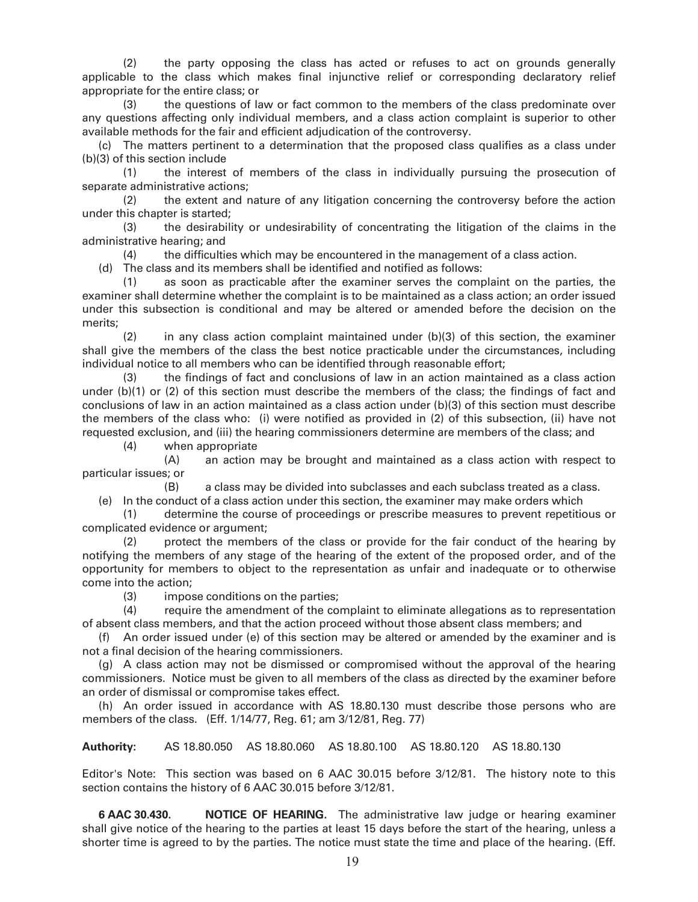(2) the party opposing the class has acted or refuses to act on grounds generally applicable to the class which makes final injunctive relief or corresponding declaratory relief appropriate for the entire class; or

 (3) the questions of law or fact common to the members of the class predominate over any questions affecting only individual members, and a class action complaint is superior to other available methods for the fair and efficient adjudication of the controversy.

 (c) The matters pertinent to a determination that the proposed class qualifies as a class under (b)(3) of this section include

 (1) the interest of members of the class in individually pursuing the prosecution of separate administrative actions;

 (2) the extent and nature of any litigation concerning the controversy before the action under this chapter is started;

 (3) the desirability or undesirability of concentrating the litigation of the claims in the administrative hearing; and

(4) the difficulties which may be encountered in the management of a class action.

(d) The class and its members shall be identified and notified as follows:

 (1) as soon as practicable after the examiner serves the complaint on the parties, the examiner shall determine whether the complaint is to be maintained as a class action; an order issued under this subsection is conditional and may be altered or amended before the decision on the merits;

 (2) in any class action complaint maintained under (b)(3) of this section, the examiner shall give the members of the class the best notice practicable under the circumstances, including individual notice to all members who can be identified through reasonable effort;

the findings of fact and conclusions of law in an action maintained as a class action under (b)(1) or (2) of this section must describe the members of the class; the findings of fact and conclusions of law in an action maintained as a class action under (b)(3) of this section must describe the members of the class who: (i) were notified as provided in (2) of this subsection, (ii) have not requested exclusion, and (iii) the hearing commissioners determine are members of the class; and

(4) when appropriate

 (A) an action may be brought and maintained as a class action with respect to particular issues; or

 (B) a class may be divided into subclasses and each subclass treated as a class. (e) In the conduct of a class action under this section, the examiner may make orders which

 (1) determine the course of proceedings or prescribe measures to prevent repetitious or complicated evidence or argument;

 (2) protect the members of the class or provide for the fair conduct of the hearing by notifying the members of any stage of the hearing of the extent of the proposed order, and of the opportunity for members to object to the representation as unfair and inadequate or to otherwise come into the action;

(3) impose conditions on the parties;

 (4) require the amendment of the complaint to eliminate allegations as to representation of absent class members, and that the action proceed without those absent class members; and

 (f) An order issued under (e) of this section may be altered or amended by the examiner and is not a final decision of the hearing commissioners.

 (g) A class action may not be dismissed or compromised without the approval of the hearing commissioners. Notice must be given to all members of the class as directed by the examiner before an order of dismissal or compromise takes effect.

 (h) An order issued in accordance with AS 18.80.130 must describe those persons who are members of the class. (Eff. 1/14/77, Reg. 61; am 3/12/81, Reg. 77)

**Authority:** AS 18.80.050 AS 18.80.060 AS 18.80.100 AS 18.80.120 AS 18.80.130

Editor's Note: This section was based on 6 AAC 30.015 before 3/12/81. The history note to this section contains the history of 6 AAC 30.015 before 3/12/81.

**6 AAC 30.430. NOTICE OF HEARING.** The administrative law judge or hearing examiner shall give notice of the hearing to the parties at least 15 days before the start of the hearing, unless a shorter time is agreed to by the parties. The notice must state the time and place of the hearing. (Eff.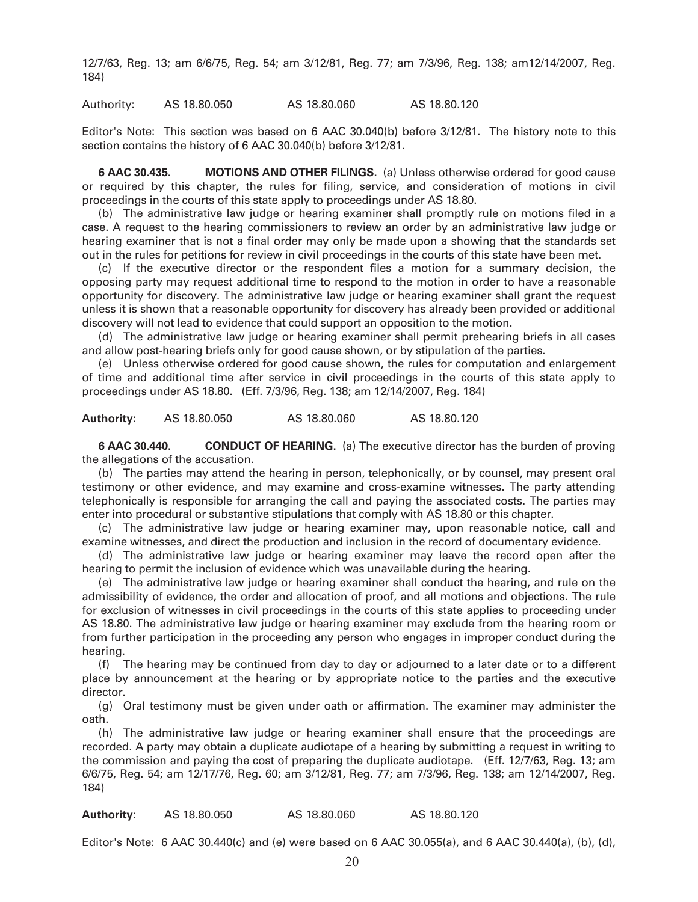12/7/63, Reg. 13; am 6/6/75, Reg. 54; am 3/12/81, Reg. 77; am 7/3/96, Reg. 138; am12/14/2007, Reg. 184)

Authority: AS 18.80.050 AS 18.80.060 AS 18.80.120

Editor's Note: This section was based on 6 AAC 30.040(b) before 3/12/81. The history note to this section contains the history of 6 AAC 30.040(b) before 3/12/81.

**6 AAC 30.435. MOTIONS AND OTHER FILINGS.** (a) Unless otherwise ordered for good cause or required by this chapter, the rules for filing, service, and consideration of motions in civil proceedings in the courts of this state apply to proceedings under AS 18.80.

 (b) The administrative law judge or hearing examiner shall promptly rule on motions filed in a case. A request to the hearing commissioners to review an order by an administrative law judge or hearing examiner that is not a final order may only be made upon a showing that the standards set out in the rules for petitions for review in civil proceedings in the courts of this state have been met.

 (c) If the executive director or the respondent files a motion for a summary decision, the opposing party may request additional time to respond to the motion in order to have a reasonable opportunity for discovery. The administrative law judge or hearing examiner shall grant the request unless it is shown that a reasonable opportunity for discovery has already been provided or additional discovery will not lead to evidence that could support an opposition to the motion.

 (d) The administrative law judge or hearing examiner shall permit prehearing briefs in all cases and allow post-hearing briefs only for good cause shown, or by stipulation of the parties.

 (e) Unless otherwise ordered for good cause shown, the rules for computation and enlargement of time and additional time after service in civil proceedings in the courts of this state apply to proceedings under AS 18.80. (Eff. 7/3/96, Reg. 138; am 12/14/2007, Reg. 184)

**Authority:** AS 18.80.050 AS 18.80.060 AS 18.80.120

**6 AAC 30.440. CONDUCT OF HEARING.** (a) The executive director has the burden of proving the allegations of the accusation.

 (b) The parties may attend the hearing in person, telephonically, or by counsel, may present oral testimony or other evidence, and may examine and cross-examine witnesses. The party attending telephonically is responsible for arranging the call and paying the associated costs. The parties may enter into procedural or substantive stipulations that comply with AS 18.80 or this chapter.

 (c) The administrative law judge or hearing examiner may, upon reasonable notice, call and examine witnesses, and direct the production and inclusion in the record of documentary evidence.

 (d) The administrative law judge or hearing examiner may leave the record open after the hearing to permit the inclusion of evidence which was unavailable during the hearing.

 (e) The administrative law judge or hearing examiner shall conduct the hearing, and rule on the admissibility of evidence, the order and allocation of proof, and all motions and objections. The rule for exclusion of witnesses in civil proceedings in the courts of this state applies to proceeding under AS 18.80. The administrative law judge or hearing examiner may exclude from the hearing room or from further participation in the proceeding any person who engages in improper conduct during the hearing.

 (f) The hearing may be continued from day to day or adjourned to a later date or to a different place by announcement at the hearing or by appropriate notice to the parties and the executive director.

 (g) Oral testimony must be given under oath or affirmation. The examiner may administer the oath.

 (h) The administrative law judge or hearing examiner shall ensure that the proceedings are recorded. A party may obtain a duplicate audiotape of a hearing by submitting a request in writing to the commission and paying the cost of preparing the duplicate audiotape. (Eff. 12/7/63, Reg. 13; am 6/6/75, Reg. 54; am 12/17/76, Reg. 60; am 3/12/81, Reg. 77; am 7/3/96, Reg. 138; am 12/14/2007, Reg. 184)

**Authority:** AS 18.80.050 AS 18.80.060 AS 18.80.120

Editor's Note: 6 AAC 30.440(c) and (e) were based on 6 AAC 30.055(a), and 6 AAC 30.440(a), (b), (d),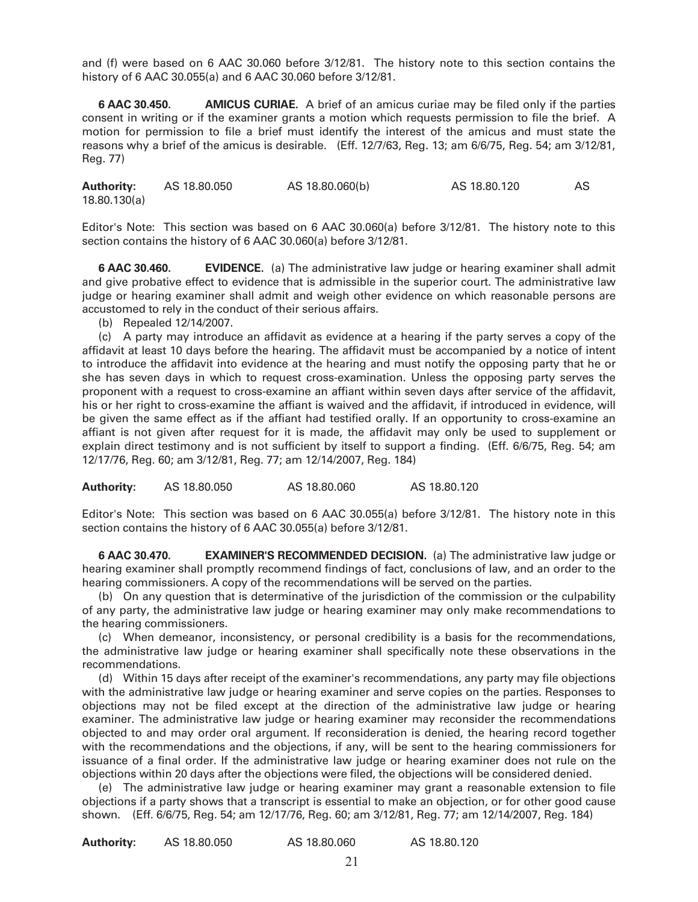and (f) were based on 6 AAC 30.060 before 3/12/81. The history note to this section contains the history of 6 AAC 30.055(a) and 6 AAC 30.060 before 3/12/81.

**6 AAC 30.450. AMICUS CURIAE.** A brief of an amicus curiae may be filed only if the parties consent in writing or if the examiner grants a motion which requests permission to file the brief. A motion for permission to file a brief must identify the interest of the amicus and must state the reasons why a brief of the amicus is desirable. (Eff. 12/7/63, Reg. 13; am 6/6/75, Reg. 54; am 3/12/81, Reg. 77)

**Authority:** AS 18.80.050 AS 18.80.060(b) AS 18.80.120 AS 18.80.130(a)

Editor's Note: This section was based on 6 AAC 30.060(a) before 3/12/81. The history note to this section contains the history of 6 AAC 30.060(a) before 3/12/81.

**6 AAC 30.460. EVIDENCE.** (a) The administrative law judge or hearing examiner shall admit and give probative effect to evidence that is admissible in the superior court. The administrative law judge or hearing examiner shall admit and weigh other evidence on which reasonable persons are accustomed to rely in the conduct of their serious affairs.

(b) Repealed 12/14/2007.

 (c) A party may introduce an affidavit as evidence at a hearing if the party serves a copy of the affidavit at least 10 days before the hearing. The affidavit must be accompanied by a notice of intent to introduce the affidavit into evidence at the hearing and must notify the opposing party that he or she has seven days in which to request cross-examination. Unless the opposing party serves the proponent with a request to cross-examine an affiant within seven days after service of the affidavit, his or her right to cross-examine the affiant is waived and the affidavit, if introduced in evidence, will be given the same effect as if the affiant had testified orally. If an opportunity to cross-examine an affiant is not given after request for it is made, the affidavit may only be used to supplement or explain direct testimony and is not sufficient by itself to support a finding. (Eff. 6/6/75, Reg. 54; am 12/17/76, Reg. 60; am 3/12/81, Reg. 77; am 12/14/2007, Reg. 184)

**Authority:** AS 18.80.050 AS 18.80.060 AS 18.80.120

Editor's Note: This section was based on 6 AAC 30.055(a) before 3/12/81. The history note in this section contains the history of 6 AAC 30.055(a) before 3/12/81.

**6 AAC 30.470. EXAMINER'S RECOMMENDED DECISION.** (a) The administrative law judge or hearing examiner shall promptly recommend findings of fact, conclusions of law, and an order to the hearing commissioners. A copy of the recommendations will be served on the parties.

 (b) On any question that is determinative of the jurisdiction of the commission or the culpability of any party, the administrative law judge or hearing examiner may only make recommendations to the hearing commissioners.

 (c) When demeanor, inconsistency, or personal credibility is a basis for the recommendations, the administrative law judge or hearing examiner shall specifically note these observations in the recommendations.

 (d) Within 15 days after receipt of the examiner's recommendations, any party may file objections with the administrative law judge or hearing examiner and serve copies on the parties. Responses to objections may not be filed except at the direction of the administrative law judge or hearing examiner. The administrative law judge or hearing examiner may reconsider the recommendations objected to and may order oral argument. If reconsideration is denied, the hearing record together with the recommendations and the objections, if any, will be sent to the hearing commissioners for issuance of a final order. If the administrative law judge or hearing examiner does not rule on the objections within 20 days after the objections were filed, the objections will be considered denied.

 (e) The administrative law judge or hearing examiner may grant a reasonable extension to file objections if a party shows that a transcript is essential to make an objection, or for other good cause shown. (Eff. 6/6/75, Reg. 54; am 12/17/76, Reg. 60; am 3/12/81, Reg. 77; am 12/14/2007, Reg. 184)

| <b>Authority:</b> | AS 18.80.050 | AS 18,80,060 | AS 18.80.120 |
|-------------------|--------------|--------------|--------------|
|                   |              |              |              |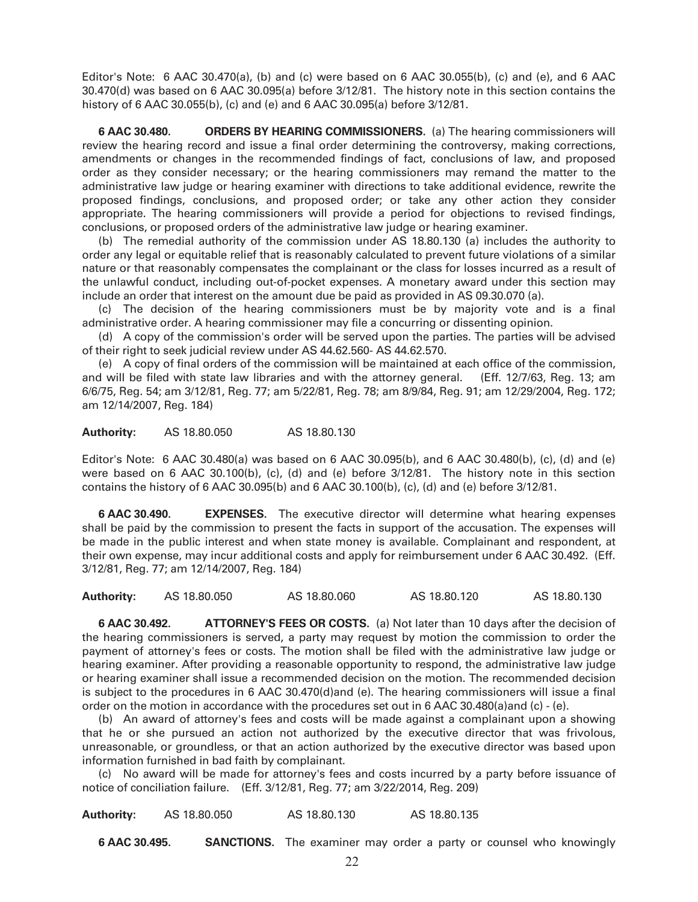Editor's Note:  $6$  AAC 30.470(a), (b) and (c) were based on  $6$  AAC 30.055(b), (c) and (e), and  $6$  AAC 30.470(d) was based on 6 AAC 30.095(a) before 3/12/81. The history note in this section contains the history of 6 AAC 30.055(b), (c) and (e) and 6 AAC 30.095(a) before 3/12/81.

**6 AAC 30.480. ORDERS BY HEARING COMMISSIONERS.** (a) The hearing commissioners will review the hearing record and issue a final order determining the controversy, making corrections, amendments or changes in the recommended findings of fact, conclusions of law, and proposed order as they consider necessary; or the hearing commissioners may remand the matter to the administrative law judge or hearing examiner with directions to take additional evidence, rewrite the proposed findings, conclusions, and proposed order; or take any other action they consider appropriate. The hearing commissioners will provide a period for objections to revised findings, conclusions, or proposed orders of the administrative law judge or hearing examiner.

 (b) The remedial authority of the commission under AS 18.80.130 (a) includes the authority to order any legal or equitable relief that is reasonably calculated to prevent future violations of a similar nature or that reasonably compensates the complainant or the class for losses incurred as a result of the unlawful conduct, including out-of-pocket expenses. A monetary award under this section may include an order that interest on the amount due be paid as provided in AS 09.30.070 (a).

 (c) The decision of the hearing commissioners must be by majority vote and is a final administrative order. A hearing commissioner may file a concurring or dissenting opinion.

 (d) A copy of the commission's order will be served upon the parties. The parties will be advised of their right to seek judicial review under AS 44.62.560- AS 44.62.570.

 (e) A copy of final orders of the commission will be maintained at each office of the commission, and will be filed with state law libraries and with the attorney general. (Eff. 12/7/63, Reg. 13; am 6/6/75, Reg. 54; am 3/12/81, Reg. 77; am 5/22/81, Reg. 78; am 8/9/84, Reg. 91; am 12/29/2004, Reg. 172; am 12/14/2007, Reg. 184)

**Authority:** AS 18.80.050 AS 18.80.130

Editor's Note: 6 AAC 30.480(a) was based on 6 AAC 30.095(b), and 6 AAC 30.480(b), (c), (d) and (e) were based on 6 AAC 30.100(b), (c), (d) and (e) before 3/12/81. The history note in this section contains the history of 6 AAC 30.095(b) and 6 AAC 30.100(b), (c), (d) and (e) before 3/12/81.

**6 AAC 30.490. EXPENSES.** The executive director will determine what hearing expenses shall be paid by the commission to present the facts in support of the accusation. The expenses will be made in the public interest and when state money is available. Complainant and respondent, at their own expense, may incur additional costs and apply for reimbursement under 6 AAC 30.492. (Eff. 3/12/81, Reg. 77; am 12/14/2007, Reg. 184)

**Authority:** AS 18.80.050 AS 18.80.060 AS 18.80.120 AS 18.80.130

**6 AAC 30.492. ATTORNEY'S FEES OR COSTS.** (a) Not later than 10 days after the decision of the hearing commissioners is served, a party may request by motion the commission to order the payment of attorney's fees or costs. The motion shall be filed with the administrative law judge or hearing examiner. After providing a reasonable opportunity to respond, the administrative law judge or hearing examiner shall issue a recommended decision on the motion. The recommended decision is subject to the procedures in 6 AAC 30.470(d)and (e). The hearing commissioners will issue a final order on the motion in accordance with the procedures set out in 6 AAC 30.480(a)and (c) - (e).

 (b) An award of attorney's fees and costs will be made against a complainant upon a showing that he or she pursued an action not authorized by the executive director that was frivolous, unreasonable, or groundless, or that an action authorized by the executive director was based upon information furnished in bad faith by complainant.

 (c) No award will be made for attorney's fees and costs incurred by a party before issuance of notice of conciliation failure. (Eff. 3/12/81, Reg. 77; am 3/22/2014, Reg. 209)

**Authority:** AS 18.80.050 AS 18.80.130 AS 18.80.135

**6 AAC 30.495. SANCTIONS.** The examiner may order a party or counsel who knowingly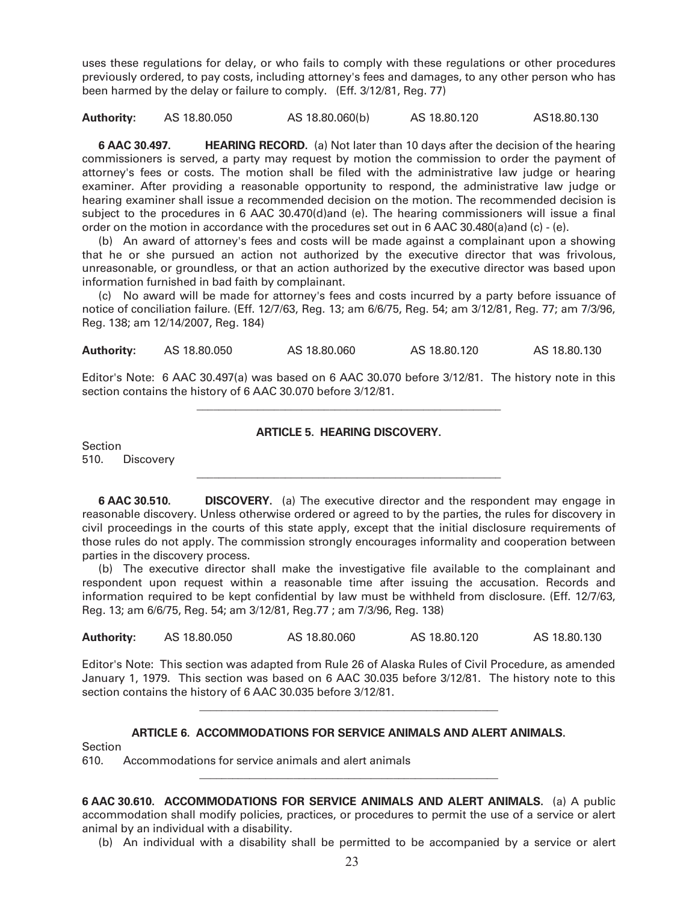uses these regulations for delay, or who fails to comply with these regulations or other procedures previously ordered, to pay costs, including attorney's fees and damages, to any other person who has been harmed by the delay or failure to comply. (Eff. 3/12/81, Reg. 77)

**Authority:** AS 18.80.050 AS 18.80.060(b) AS 18.80.120 AS18.80.130

**6 AAC 30.497. HEARING RECORD.** (a) Not later than 10 days after the decision of the hearing commissioners is served, a party may request by motion the commission to order the payment of attorney's fees or costs. The motion shall be filed with the administrative law judge or hearing examiner. After providing a reasonable opportunity to respond, the administrative law judge or hearing examiner shall issue a recommended decision on the motion. The recommended decision is subject to the procedures in 6 AAC 30.470(d)and (e). The hearing commissioners will issue a final order on the motion in accordance with the procedures set out in 6 AAC 30.480(a)and (c) - (e).

 (b) An award of attorney's fees and costs will be made against a complainant upon a showing that he or she pursued an action not authorized by the executive director that was frivolous, unreasonable, or groundless, or that an action authorized by the executive director was based upon information furnished in bad faith by complainant.

 (c) No award will be made for attorney's fees and costs incurred by a party before issuance of notice of conciliation failure. (Eff. 12/7/63, Reg. 13; am 6/6/75, Reg. 54; am 3/12/81, Reg. 77; am 7/3/96, Reg. 138; am 12/14/2007, Reg. 184)

**Authority:** AS 18.80.050 AS 18.80.060 AS 18.80.120 AS 18.80.130

 $\frac{1}{2}$  ,  $\frac{1}{2}$  ,  $\frac{1}{2}$  ,  $\frac{1}{2}$  ,  $\frac{1}{2}$  ,  $\frac{1}{2}$  ,  $\frac{1}{2}$  ,  $\frac{1}{2}$  ,  $\frac{1}{2}$  ,  $\frac{1}{2}$  ,  $\frac{1}{2}$  ,  $\frac{1}{2}$  ,  $\frac{1}{2}$  ,  $\frac{1}{2}$  ,  $\frac{1}{2}$  ,  $\frac{1}{2}$  ,  $\frac{1}{2}$  ,  $\frac{1}{2}$  ,  $\frac{1$ 

 $\frac{1}{2}$  ,  $\frac{1}{2}$  ,  $\frac{1}{2}$  ,  $\frac{1}{2}$  ,  $\frac{1}{2}$  ,  $\frac{1}{2}$  ,  $\frac{1}{2}$  ,  $\frac{1}{2}$  ,  $\frac{1}{2}$  ,  $\frac{1}{2}$  ,  $\frac{1}{2}$  ,  $\frac{1}{2}$  ,  $\frac{1}{2}$  ,  $\frac{1}{2}$  ,  $\frac{1}{2}$  ,  $\frac{1}{2}$  ,  $\frac{1}{2}$  ,  $\frac{1}{2}$  ,  $\frac{1$ 

Editor's Note: 6 AAC 30.497(a) was based on 6 AAC 30.070 before 3/12/81. The history note in this section contains the history of 6 AAC 30.070 before 3/12/81.

#### **ARTICLE 5. HEARING DISCOVERY.**

Section 510. Discovery

**6 AAC 30.510. DISCOVERY.** (a) The executive director and the respondent may engage in reasonable discovery. Unless otherwise ordered or agreed to by the parties, the rules for discovery in civil proceedings in the courts of this state apply, except that the initial disclosure requirements of those rules do not apply. The commission strongly encourages informality and cooperation between parties in the discovery process.

 (b) The executive director shall make the investigative file available to the complainant and respondent upon request within a reasonable time after issuing the accusation. Records and information required to be kept confidential by law must be withheld from disclosure. (Eff. 12/7/63, Reg. 13; am 6/6/75, Reg. 54; am 3/12/81, Reg.77 ; am 7/3/96, Reg. 138)

**Authority:** AS 18.80.050 AS 18.80.060 AS 18.80.120 AS 18.80.130

Editor's Note: This section was adapted from Rule 26 of Alaska Rules of Civil Procedure, as amended January 1, 1979. This section was based on 6 AAC 30.035 before 3/12/81. The history note to this section contains the history of 6 AAC 30.035 before 3/12/81.

\_\_\_\_\_\_\_\_\_\_\_\_\_\_\_\_\_\_\_\_\_\_\_\_\_\_\_\_\_\_\_\_\_\_\_\_\_\_\_\_\_\_\_\_\_\_\_\_\_\_\_\_\_\_

#### **ARTICLE 6. ACCOMMODATIONS FOR SERVICE ANIMALS AND ALERT ANIMALS.**

Section

610. Accommodations for service animals and alert animals

**6 AAC 30.610. ACCOMMODATIONS FOR SERVICE ANIMALS AND ALERT ANIMALS.** (a) A public accommodation shall modify policies, practices, or procedures to permit the use of a service or alert animal by an individual with a disability.

\_\_\_\_\_\_\_\_\_\_\_\_\_\_\_\_\_\_\_\_\_\_\_\_\_\_\_\_\_\_\_\_\_\_\_\_\_\_\_\_\_\_\_\_\_\_\_\_\_\_\_\_\_\_

(b) An individual with a disability shall be permitted to be accompanied by a service or alert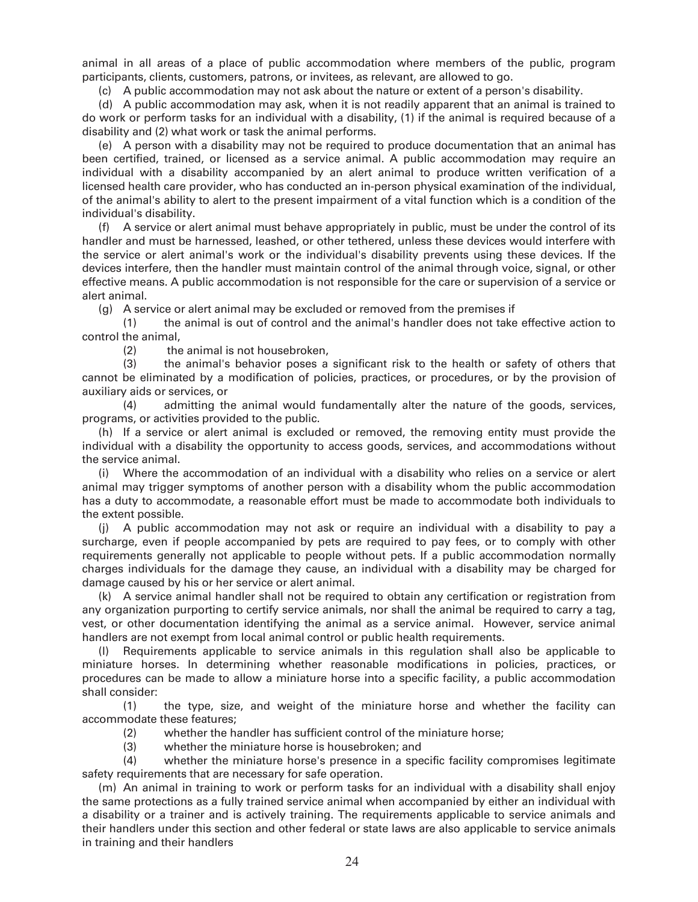animal in all areas of a place of public accommodation where members of the public, program participants, clients, customers, patrons, or invitees, as relevant, are allowed to go.

(c) A public accommodation may not ask about the nature or extent of a person's disability.

 (d) A public accommodation may ask, when it is not readily apparent that an animal is trained to do work or perform tasks for an individual with a disability, (1) if the animal is required because of a disability and (2) what work or task the animal performs.

 (e) A person with a disability may not be required to produce documentation that an animal has been certified, trained, or licensed as a service animal. A public accommodation may require an individual with a disability accompanied by an alert animal to produce written verification of a licensed health care provider, who has conducted an in-person physical examination of the individual, of the animal's ability to alert to the present impairment of a vital function which is a condition of the individual's disability.

 (f) A service or alert animal must behave appropriately in public, must be under the control of its handler and must be harnessed, leashed, or other tethered, unless these devices would interfere with the service or alert animal's work or the individual's disability prevents using these devices. If the devices interfere, then the handler must maintain control of the animal through voice, signal, or other effective means. A public accommodation is not responsible for the care or supervision of a service or alert animal.

(g) A service or alert animal may be excluded or removed from the premises if

 (1) the animal is out of control and the animal's handler does not take effective action to control the animal,

(2) the animal is not housebroken,

 (3) the animal's behavior poses a significant risk to the health or safety of others that cannot be eliminated by a modification of policies, practices, or procedures, or by the provision of auxiliary aids or services, or

 (4) admitting the animal would fundamentally alter the nature of the goods, services, programs, or activities provided to the public.

 (h) If a service or alert animal is excluded or removed, the removing entity must provide the individual with a disability the opportunity to access goods, services, and accommodations without the service animal.

 (i) Where the accommodation of an individual with a disability who relies on a service or alert animal may trigger symptoms of another person with a disability whom the public accommodation has a duty to accommodate, a reasonable effort must be made to accommodate both individuals to the extent possible.

 (j) A public accommodation may not ask or require an individual with a disability to pay a surcharge, even if people accompanied by pets are required to pay fees, or to comply with other requirements generally not applicable to people without pets. If a public accommodation normally charges individuals for the damage they cause, an individual with a disability may be charged for damage caused by his or her service or alert animal.

 (k) A service animal handler shall not be required to obtain any certification or registration from any organization purporting to certify service animals, nor shall the animal be required to carry a tag, vest, or other documentation identifying the animal as a service animal. However, service animal handlers are not exempt from local animal control or public health requirements.

 (l) Requirements applicable to service animals in this regulation shall also be applicable to miniature horses. In determining whether reasonable modifications in policies, practices, or procedures can be made to allow a miniature horse into a specific facility, a public accommodation shall consider:

 (1) the type, size, and weight of the miniature horse and whether the facility can accommodate these features;

- (2) whether the handler has sufficient control of the miniature horse;
- (3) whether the miniature horse is housebroken; and

 (4) whether the miniature horse's presence in a specific facility compromises legitimate safety requirements that are necessary for safe operation.

 (m) An animal in training to work or perform tasks for an individual with a disability shall enjoy the same protections as a fully trained service animal when accompanied by either an individual with a disability or a trainer and is actively training. The requirements applicable to service animals and their handlers under this section and other federal or state laws are also applicable to service animals in training and their handlers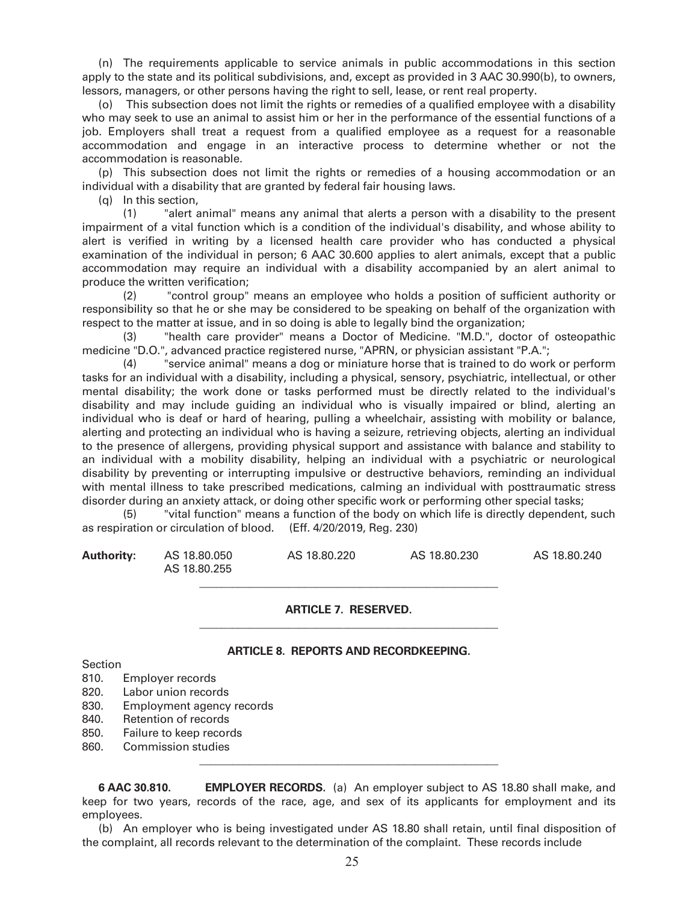(n) The requirements applicable to service animals in public accommodations in this section apply to the state and its political subdivisions, and, except as provided in 3 AAC 30.990(b), to owners, lessors, managers, or other persons having the right to sell, lease, or rent real property.

 (o) This subsection does not limit the rights or remedies of a qualified employee with a disability who may seek to use an animal to assist him or her in the performance of the essential functions of a job. Employers shall treat a request from a qualified employee as a request for a reasonable accommodation and engage in an interactive process to determine whether or not the accommodation is reasonable.

 (p) This subsection does not limit the rights or remedies of a housing accommodation or an individual with a disability that are granted by federal fair housing laws.

(q) In this section,

 (1) "alert animal" means any animal that alerts a person with a disability to the present impairment of a vital function which is a condition of the individual's disability, and whose ability to alert is verified in writing by a licensed health care provider who has conducted a physical examination of the individual in person; 6 AAC 30.600 applies to alert animals, except that a public accommodation may require an individual with a disability accompanied by an alert animal to produce the written verification;

 (2) "control group" means an employee who holds a position of sufficient authority or responsibility so that he or she may be considered to be speaking on behalf of the organization with respect to the matter at issue, and in so doing is able to legally bind the organization;

 (3) "health care provider" means a Doctor of Medicine. "M.D.", doctor of osteopathic medicine "D.O.", advanced practice registered nurse, "APRN, or physician assistant "P.A.";

 (4) "service animal" means a dog or miniature horse that is trained to do work or perform tasks for an individual with a disability, including a physical, sensory, psychiatric, intellectual, or other mental disability; the work done or tasks performed must be directly related to the individual's disability and may include guiding an individual who is visually impaired or blind, alerting an individual who is deaf or hard of hearing, pulling a wheelchair, assisting with mobility or balance, alerting and protecting an individual who is having a seizure, retrieving objects, alerting an individual to the presence of allergens, providing physical support and assistance with balance and stability to an individual with a mobility disability, helping an individual with a psychiatric or neurological disability by preventing or interrupting impulsive or destructive behaviors, reminding an individual with mental illness to take prescribed medications, calming an individual with posttraumatic stress disorder during an anxiety attack, or doing other specific work or performing other special tasks;

 (5) "vital function" means a function of the body on which life is directly dependent, such as respiration or circulation of blood. (Eff. 4/20/2019, Reg. 230)

| <b>Authority:</b> | AS 18,80,050<br>AS 18.80.255 | AS 18,80,220 | AS 18,80,230 | AS 18,80,240 |
|-------------------|------------------------------|--------------|--------------|--------------|
|                   |                              |              |              |              |

## **ARTICLE 7. RESERVED.**

 $\mathcal{L}_\text{max}$  , and the contract of the contract of the contract of the contract of the contract of the contract of the contract of the contract of the contract of the contract of the contract of the contract of the contr

 $\frac{1}{2}$  ,  $\frac{1}{2}$  ,  $\frac{1}{2}$  ,  $\frac{1}{2}$  ,  $\frac{1}{2}$  ,  $\frac{1}{2}$  ,  $\frac{1}{2}$  ,  $\frac{1}{2}$  ,  $\frac{1}{2}$  ,  $\frac{1}{2}$  ,  $\frac{1}{2}$  ,  $\frac{1}{2}$  ,  $\frac{1}{2}$  ,  $\frac{1}{2}$  ,  $\frac{1}{2}$  ,  $\frac{1}{2}$  ,  $\frac{1}{2}$  ,  $\frac{1}{2}$  ,  $\frac{1$ 

#### **ARTICLE 8. REPORTS AND RECORDKEEPING.**

Section

- 810. Employer records
- 820. Labor union records
- 830. Employment agency records
- 840. Retention of records
- 850. Failure to keep records
- 860. Commission studies

**6 AAC 30.810. EMPLOYER RECORDS.** (a) An employer subject to AS 18.80 shall make, and keep for two years, records of the race, age, and sex of its applicants for employment and its employees.

 (b) An employer who is being investigated under AS 18.80 shall retain, until final disposition of the complaint, all records relevant to the determination of the complaint. These records include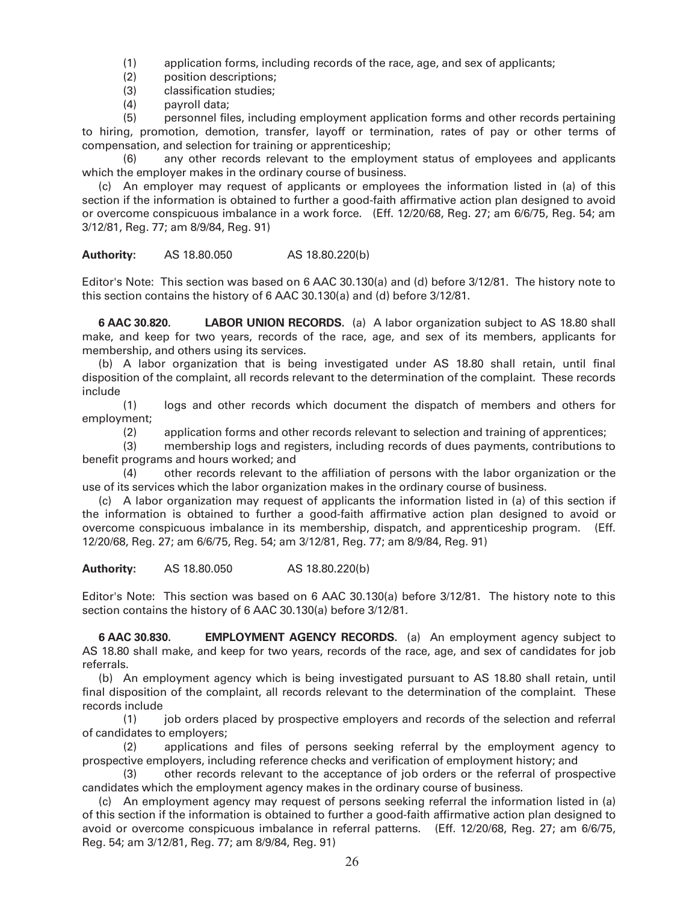(1) application forms, including records of the race, age, and sex of applicants;

- (2) position descriptions;
- (3) classification studies;
- (4) payroll data;

 (5) personnel files, including employment application forms and other records pertaining to hiring, promotion, demotion, transfer, layoff or termination, rates of pay or other terms of compensation, and selection for training or apprenticeship;

 (6) any other records relevant to the employment status of employees and applicants which the employer makes in the ordinary course of business.

 (c) An employer may request of applicants or employees the information listed in (a) of this section if the information is obtained to further a good-faith affirmative action plan designed to avoid or overcome conspicuous imbalance in a work force. (Eff. 12/20/68, Reg. 27; am 6/6/75, Reg. 54; am 3/12/81, Reg. 77; am 8/9/84, Reg. 91)

**Authority:** AS 18.80.050 AS 18.80.220(b)

Editor's Note: This section was based on 6 AAC 30.130(a) and (d) before 3/12/81. The history note to this section contains the history of 6 AAC 30.130(a) and (d) before 3/12/81.

**6 AAC 30.820. LABOR UNION RECORDS.** (a) A labor organization subject to AS 18.80 shall make, and keep for two years, records of the race, age, and sex of its members, applicants for membership, and others using its services.

 (b) A labor organization that is being investigated under AS 18.80 shall retain, until final disposition of the complaint, all records relevant to the determination of the complaint. These records include

 (1) logs and other records which document the dispatch of members and others for employment;

(2) application forms and other records relevant to selection and training of apprentices;

 (3) membership logs and registers, including records of dues payments, contributions to benefit programs and hours worked; and

 (4) other records relevant to the affiliation of persons with the labor organization or the use of its services which the labor organization makes in the ordinary course of business.

 (c) A labor organization may request of applicants the information listed in (a) of this section if the information is obtained to further a good-faith affirmative action plan designed to avoid or overcome conspicuous imbalance in its membership, dispatch, and apprenticeship program. (Eff. 12/20/68, Reg. 27; am 6/6/75, Reg. 54; am 3/12/81, Reg. 77; am 8/9/84, Reg. 91)

**Authority:** AS 18.80.050 AS 18.80.220(b)

Editor's Note: This section was based on 6 AAC 30.130(a) before 3/12/81. The history note to this section contains the history of 6 AAC 30.130(a) before 3/12/81.

**6 AAC 30.830. EMPLOYMENT AGENCY RECORDS.** (a) An employment agency subject to AS 18.80 shall make, and keep for two years, records of the race, age, and sex of candidates for job referrals.

 (b) An employment agency which is being investigated pursuant to AS 18.80 shall retain, until final disposition of the complaint, all records relevant to the determination of the complaint. These records include

 (1) job orders placed by prospective employers and records of the selection and referral of candidates to employers;

 (2) applications and files of persons seeking referral by the employment agency to prospective employers, including reference checks and verification of employment history; and

 (3) other records relevant to the acceptance of job orders or the referral of prospective candidates which the employment agency makes in the ordinary course of business.

 (c) An employment agency may request of persons seeking referral the information listed in (a) of this section if the information is obtained to further a good-faith affirmative action plan designed to avoid or overcome conspicuous imbalance in referral patterns. (Eff. 12/20/68, Reg. 27; am 6/6/75, Reg. 54; am 3/12/81, Reg. 77; am 8/9/84, Reg. 91)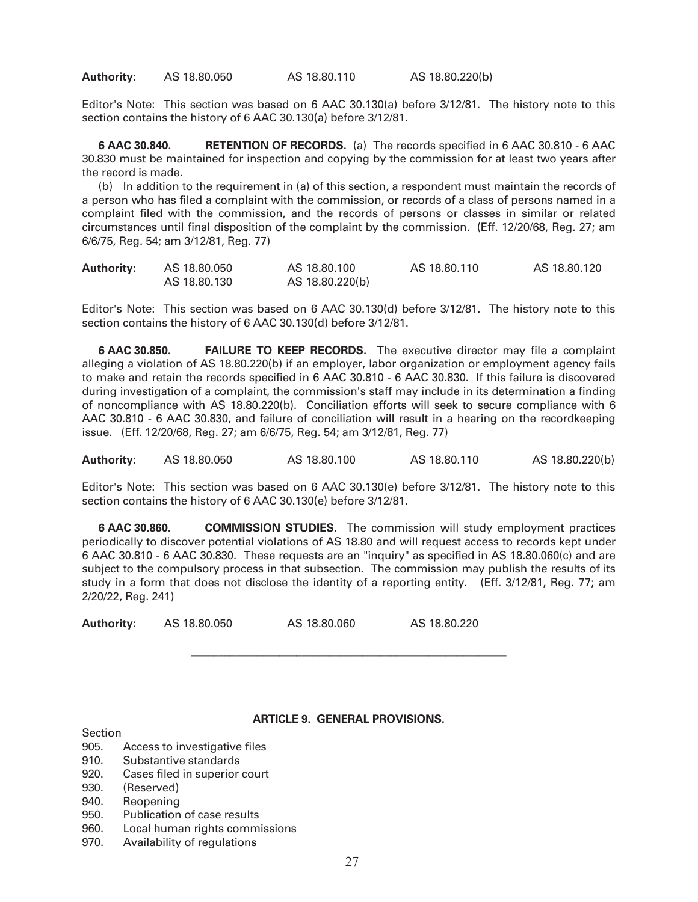**Authority:** AS 18.80.050 AS 18.80.110 AS 18.80.220(b)

Editor's Note: This section was based on 6 AAC 30.130(a) before 3/12/81. The history note to this section contains the history of 6 AAC 30.130(a) before 3/12/81.

**6 AAC 30.840. RETENTION OF RECORDS.** (a) The records specified in 6 AAC 30.810 - 6 AAC 30.830 must be maintained for inspection and copying by the commission for at least two years after the record is made.

 (b) In addition to the requirement in (a) of this section, a respondent must maintain the records of a person who has filed a complaint with the commission, or records of a class of persons named in a complaint filed with the commission, and the records of persons or classes in similar or related circumstances until final disposition of the complaint by the commission. (Eff. 12/20/68, Reg. 27; am 6/6/75, Reg. 54; am 3/12/81, Reg. 77)

| <b>Authority:</b> | AS 18.80.050 | AS 18,80,100    | AS 18.80.110 | AS 18.80.120 |
|-------------------|--------------|-----------------|--------------|--------------|
|                   | AS 18.80.130 | AS 18.80.220(b) |              |              |

Editor's Note: This section was based on 6 AAC 30.130(d) before 3/12/81. The history note to this section contains the history of 6 AAC 30.130(d) before 3/12/81.

**6 AAC 30.850. FAILURE TO KEEP RECORDS.** The executive director may file a complaint alleging a violation of AS 18.80.220(b) if an employer, labor organization or employment agency fails to make and retain the records specified in 6 AAC 30.810 - 6 AAC 30.830. If this failure is discovered during investigation of a complaint, the commission's staff may include in its determination a finding of noncompliance with AS 18.80.220(b). Conciliation efforts will seek to secure compliance with 6 AAC 30.810 - 6 AAC 30.830, and failure of conciliation will result in a hearing on the recordkeeping issue. (Eff. 12/20/68, Reg. 27; am 6/6/75, Reg. 54; am 3/12/81, Reg. 77)

**Authority:** AS 18.80.050 AS 18.80.100 AS 18.80.110 AS 18.80.220(b)

Editor's Note: This section was based on 6 AAC 30.130(e) before 3/12/81. The history note to this section contains the history of 6 AAC 30.130(e) before 3/12/81.

**6 AAC 30.860. COMMISSION STUDIES.** The commission will study employment practices periodically to discover potential violations of AS 18.80 and will request access to records kept under 6 AAC 30.810 - 6 AAC 30.830. These requests are an "inquiry" as specified in AS 18.80.060(c) and are subject to the compulsory process in that subsection. The commission may publish the results of its study in a form that does not disclose the identity of a reporting entity. (Eff. 3/12/81, Reg. 77; am 2/20/22, Reg. 241)

**Authority:** AS 18.80.050 AS 18.80.060 AS 18.80.220

 $\frac{1}{2}$  ,  $\frac{1}{2}$  ,  $\frac{1}{2}$  ,  $\frac{1}{2}$  ,  $\frac{1}{2}$  ,  $\frac{1}{2}$  ,  $\frac{1}{2}$  ,  $\frac{1}{2}$  ,  $\frac{1}{2}$  ,  $\frac{1}{2}$  ,  $\frac{1}{2}$  ,  $\frac{1}{2}$  ,  $\frac{1}{2}$  ,  $\frac{1}{2}$  ,  $\frac{1}{2}$  ,  $\frac{1}{2}$  ,  $\frac{1}{2}$  ,  $\frac{1}{2}$  ,  $\frac{1$ 

### **ARTICLE 9. GENERAL PROVISIONS.**

Section

- 905. Access to investigative files
- 910. Substantive standards
- 920. Cases filed in superior court
- 930. (Reserved)
- 940. Reopening
- 950. Publication of case results
- 960. Local human rights commissions
- 970. Availability of regulations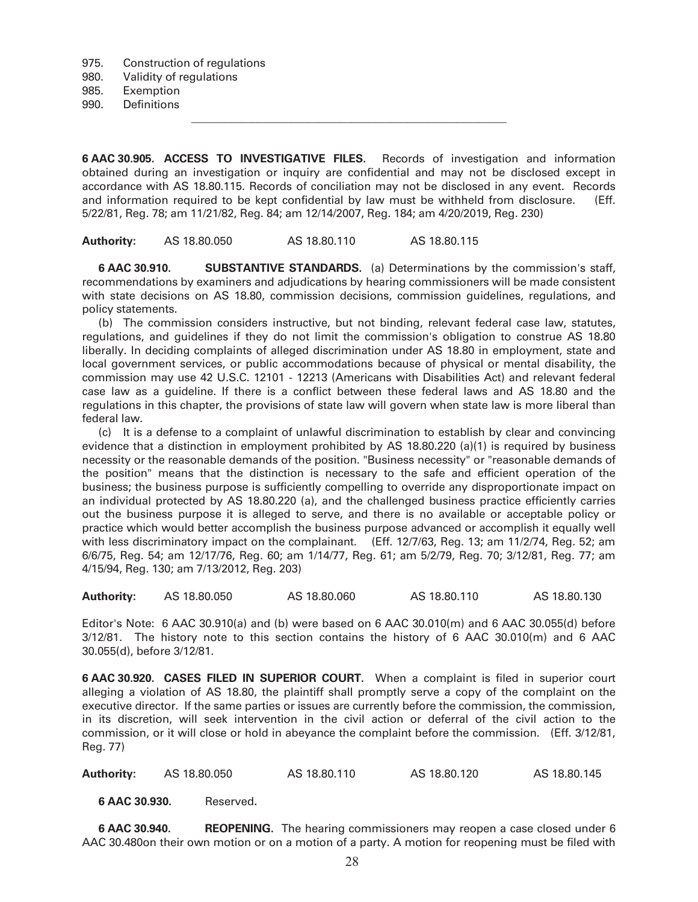975. Construction of regulations

980. Validity of regulations

985. Exemption

990. Definitions

**6 AAC 30.905. ACCESS TO INVESTIGATIVE FILES.** Records of investigation and information obtained during an investigation or inquiry are confidential and may not be disclosed except in accordance with AS 18.80.115. Records of conciliation may not be disclosed in any event. Records and information required to be kept confidential by law must be withheld from disclosure. (Eff. 5/22/81, Reg. 78; am 11/21/82, Reg. 84; am 12/14/2007, Reg. 184; am 4/20/2019, Reg. 230)

**Authority:** AS 18.80.050 AS 18.80.110 AS 18.80.115

 $\mathcal{L}_\text{max} = \frac{1}{2} \sum_{i=1}^{n} \frac{1}{2} \sum_{i=1}^{n} \frac{1}{2} \sum_{i=1}^{n} \frac{1}{2} \sum_{i=1}^{n} \frac{1}{2} \sum_{i=1}^{n} \frac{1}{2} \sum_{i=1}^{n} \frac{1}{2} \sum_{i=1}^{n} \frac{1}{2} \sum_{i=1}^{n} \frac{1}{2} \sum_{i=1}^{n} \frac{1}{2} \sum_{i=1}^{n} \frac{1}{2} \sum_{i=1}^{n} \frac{1}{2} \sum_{i=1}^{n} \frac{1$ 

**6 AAC 30.910. SUBSTANTIVE STANDARDS.** (a) Determinations by the commission's staff, recommendations by examiners and adjudications by hearing commissioners will be made consistent with state decisions on AS 18.80, commission decisions, commission guidelines, regulations, and policy statements.

 (b) The commission considers instructive, but not binding, relevant federal case law, statutes, regulations, and guidelines if they do not limit the commission's obligation to construe AS 18.80 liberally. In deciding complaints of alleged discrimination under AS 18.80 in employment, state and local government services, or public accommodations because of physical or mental disability, the commission may use 42 U.S.C. 12101 - 12213 (Americans with Disabilities Act) and relevant federal case law as a guideline. If there is a conflict between these federal laws and AS 18.80 and the regulations in this chapter, the provisions of state law will govern when state law is more liberal than federal law.

 (c) It is a defense to a complaint of unlawful discrimination to establish by clear and convincing evidence that a distinction in employment prohibited by AS 18.80.220 (a)(1) is required by business necessity or the reasonable demands of the position. "Business necessity" or "reasonable demands of the position" means that the distinction is necessary to the safe and efficient operation of the business; the business purpose is sufficiently compelling to override any disproportionate impact on an individual protected by AS 18.80.220 (a), and the challenged business practice efficiently carries out the business purpose it is alleged to serve, and there is no available or acceptable policy or practice which would better accomplish the business purpose advanced or accomplish it equally well with less discriminatory impact on the complainant. (Eff. 12/7/63, Reg. 13; am 11/2/74, Reg. 52; am 6/6/75, Reg. 54; am 12/17/76, Reg. 60; am 1/14/77, Reg. 61; am 5/2/79, Reg. 70; 3/12/81, Reg. 77; am 4/15/94, Reg. 130; am 7/13/2012, Reg. 203)

**Authority:** AS 18.80.050 AS 18.80.060 AS 18.80.110 AS 18.80.130

Editor's Note: 6 AAC 30.910(a) and (b) were based on 6 AAC 30.010(m) and 6 AAC 30.055(d) before 3/12/81. The history note to this section contains the history of 6 AAC 30.010(m) and 6 AAC 30.055(d), before 3/12/81.

**6 AAC 30.920. CASES FILED IN SUPERIOR COURT.** When a complaint is filed in superior court alleging a violation of AS 18.80, the plaintiff shall promptly serve a copy of the complaint on the executive director. If the same parties or issues are currently before the commission, the commission, in its discretion, will seek intervention in the civil action or deferral of the civil action to the commission, or it will close or hold in abeyance the complaint before the commission. (Eff. 3/12/81, Reg. 77)

**Authority:** AS 18.80.050 AS 18.80.110 AS 18.80.120 AS 18.80.145

**6 AAC 30.930.** Reserved**.** 

**6 AAC 30.940. REOPENING.** The hearing commissioners may reopen a case closed under 6 AAC 30.480on their own motion or on a motion of a party. A motion for reopening must be filed with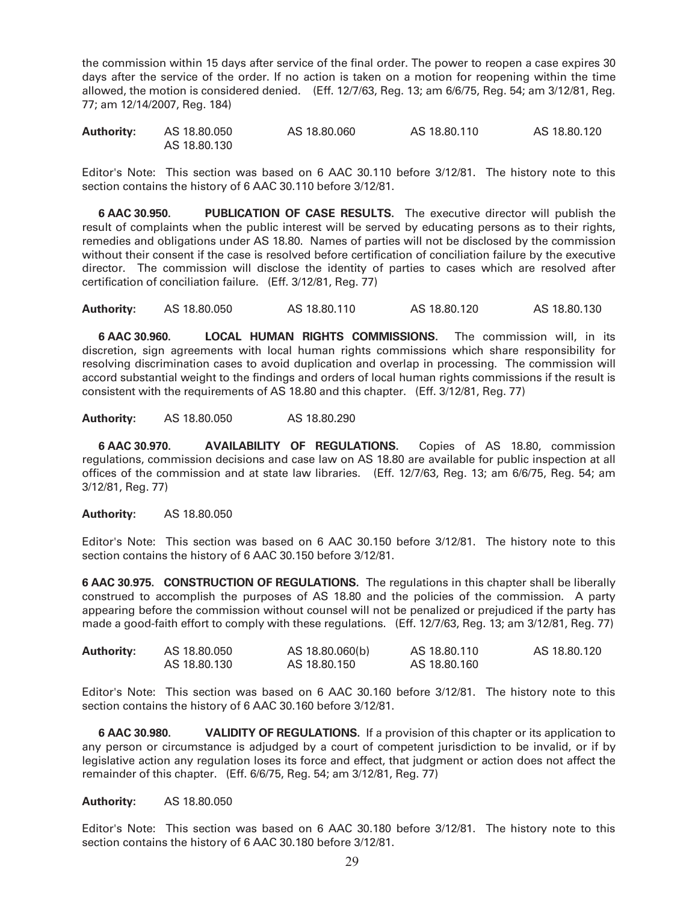the commission within 15 days after service of the final order. The power to reopen a case expires 30 days after the service of the order. If no action is taken on a motion for reopening within the time allowed, the motion is considered denied. (Eff. 12/7/63, Reg. 13; am 6/6/75, Reg. 54; am 3/12/81, Reg. 77; am 12/14/2007, Reg. 184)

| <b>Authority:</b> | AS 18.80.050 | AS 18,80,060 | AS 18.80.110 | AS 18.80.120 |
|-------------------|--------------|--------------|--------------|--------------|
|                   | AS 18,80,130 |              |              |              |

Editor's Note: This section was based on 6 AAC 30.110 before 3/12/81. The history note to this section contains the history of 6 AAC 30.110 before 3/12/81.

**6 AAC 30.950. PUBLICATION OF CASE RESULTS.** The executive director will publish the result of complaints when the public interest will be served by educating persons as to their rights, remedies and obligations under AS 18.80. Names of parties will not be disclosed by the commission without their consent if the case is resolved before certification of conciliation failure by the executive director. The commission will disclose the identity of parties to cases which are resolved after certification of conciliation failure. (Eff. 3/12/81, Reg. 77)

**Authority:** AS 18.80.050 AS 18.80.110 AS 18.80.120 AS 18.80.130

**6 AAC 30.960. LOCAL HUMAN RIGHTS COMMISSIONS.** The commission will, in its discretion, sign agreements with local human rights commissions which share responsibility for resolving discrimination cases to avoid duplication and overlap in processing. The commission will accord substantial weight to the findings and orders of local human rights commissions if the result is consistent with the requirements of AS 18.80 and this chapter. (Eff. 3/12/81, Reg. 77)

**Authority:** AS 18.80.050 AS 18.80.290

**6 AAC 30.970. AVAILABILITY OF REGULATIONS.** Copies of AS 18.80, commission regulations, commission decisions and case law on AS 18.80 are available for public inspection at all offices of the commission and at state law libraries. (Eff. 12/7/63, Reg. 13; am 6/6/75, Reg. 54; am 3/12/81, Reg. 77)

## **Authority:** AS 18.80.050

Editor's Note: This section was based on 6 AAC 30.150 before 3/12/81. The history note to this section contains the history of 6 AAC 30.150 before 3/12/81.

**6 AAC 30.975. CONSTRUCTION OF REGULATIONS.** The regulations in this chapter shall be liberally construed to accomplish the purposes of AS 18.80 and the policies of the commission. A party appearing before the commission without counsel will not be penalized or prejudiced if the party has made a good-faith effort to comply with these regulations. (Eff. 12/7/63, Reg. 13; am 3/12/81, Reg. 77)

| <b>Authority:</b> | AS 18.80.050 | AS 18.80.060(b) | AS 18.80.110 | AS 18.80.120 |
|-------------------|--------------|-----------------|--------------|--------------|
|                   | AS 18.80.130 | AS 18.80.150    | AS 18.80.160 |              |

Editor's Note: This section was based on 6 AAC 30.160 before 3/12/81. The history note to this section contains the history of 6 AAC 30.160 before 3/12/81.

**6 AAC 30.980. VALIDITY OF REGULATIONS.** If a provision of this chapter or its application to any person or circumstance is adjudged by a court of competent jurisdiction to be invalid, or if by legislative action any regulation loses its force and effect, that judgment or action does not affect the remainder of this chapter. (Eff. 6/6/75, Reg. 54; am 3/12/81, Reg. 77)

## **Authority:** AS 18.80.050

Editor's Note: This section was based on 6 AAC 30.180 before 3/12/81. The history note to this section contains the history of 6 AAC 30.180 before 3/12/81.